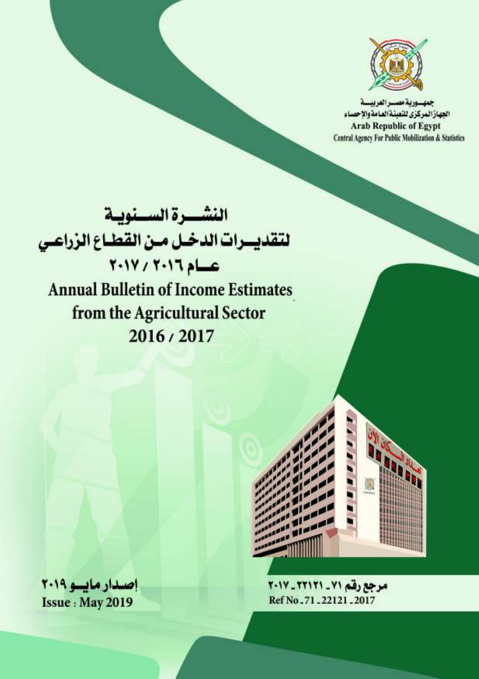

جمهنورية مصيرا لفريسية الجهاز المركزي للتعبشة العامة والإحصاء **Arab Republic of Egypt** Central Agency For Public Mobilization & Statistics

النشـــرة الســنويــة لتقديسرات الدخىل مئن القطباع الزراعس  $Y-1Y+Y-17$ **Annual Bulletin of Income Estimates** from the Agricultural Sector 2016/2017



مرجع رقم ٧١ - ٢٢١٢١ - ٢٠١٧ Ref No. 71, 22121, 2017

اصدار مایسو ٢٠١٩ **Issue: May 2019**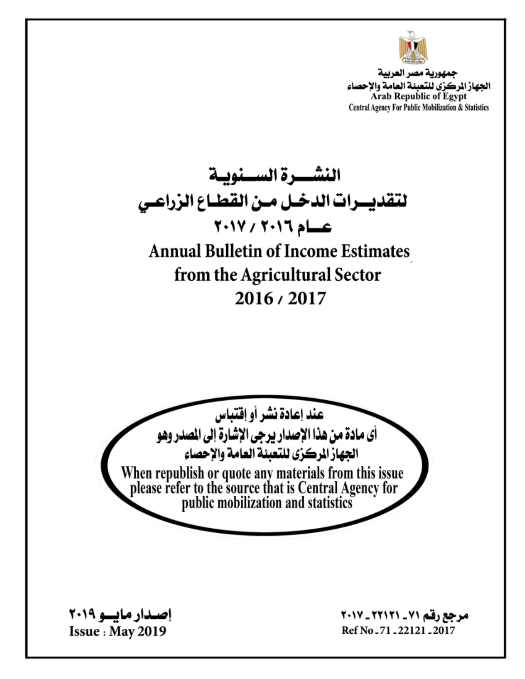

جمهورية مصر العربية الجهاز الركزي للتعبئة العامة والإحصاء Arab Republic of Egypt Central Agency For Public Mobilization & Statistics

النشــــرة الســـنويــة لتقديــرات الدخـل مـن القطـاع الزراعـى عسام ٢٠١٦ / ٢٠١٧ **Annual Bulletin of Income Estimates** from the Agricultural Sector 2016/2017 عند إعادة نشر أو إقتباس أي مادة من هذا الإصدار يرجى الإشارة إلى الصدر وهو الجهاز الركزي للتعبئة العامة والإحصاء When republish or quote any materials from this issue<br>please refer to the source that is Central Agency for<br>public mobilization and statistics

<u>اصدار مایسو ۲۰۱۹</u> **Issue: May 2019** 

مرجع رقم ٧١ \_ ٢٢١٢١ \_ ٢٠١٧ Ref No - 71 - 22121 - 2017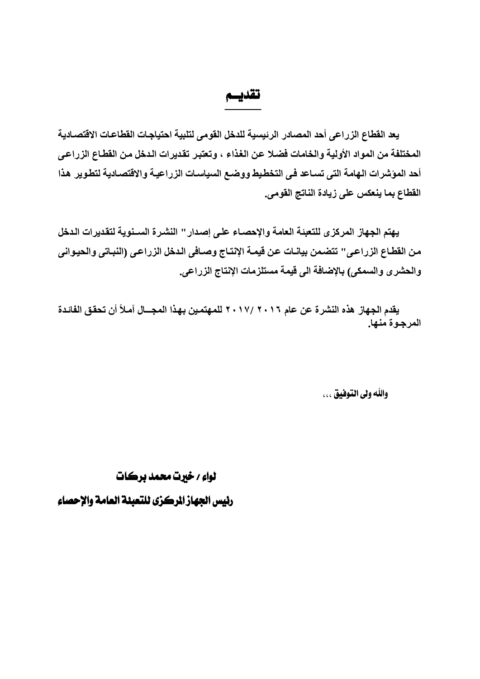تقديسم

يعد القطاع الزراعي أحد المصادر الرئيسية للدخل القومي لتلبية احتياجات القطاعات الاقتصادية المختلفة من المواد الأولية والخامات فضلا عن الغذاء ، وتعتبر تقديرات الدخل من القطاع الزراعي أحد المؤشرات الهامة التي تساعد في التخطيط ووضـع السياسـات الزراعيـة والاقتصـاديـة لتطوير هذا القطاع بما ينعكس على زيادة الناتج القومي.

يهتم الجهاز المركزي للتعبئة العامة والإحصاء على إصدار '' النشرة السـنوية لتقديرات الدخل من القطـاع الزراعـي'' تتضـمن بيانـات عن قيمـة الإنتـاج وصـافـي الـدخل الزراعـي (النبـاتي والـحيـوانـي والحشرى والسمكي) بالإضافة الى قيمة مستلزمات الإنتاج الزراعي.

يقدم الجهاز. هذه النشرة عن عام ٢٠١٧/ ٢٠١٧ للمهتمين بهذا المجـــال آمـلاً أن تحقق الفائـدة المرجوة منها.

واللَّه ولي التَّوفيق . . .

لواءِ / خيرت محمد برڪات رئيس الجهاز الركزي للتعبئة العامة والإحصاء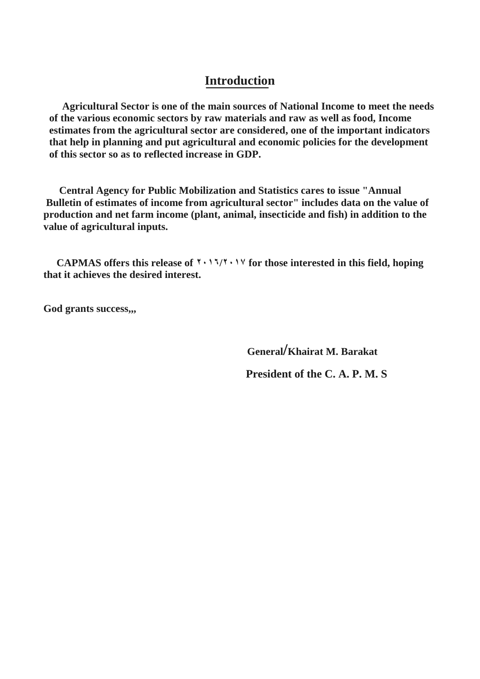## **Introduction**

 **Agricultural Sector is one of the main sources of National Income to meet the needs of the various economic sectors by raw materials and raw as well as food, Income estimates from the agricultural sector are considered, one of the important indicators that help in planning and put agricultural and economic policies for the development of this sector so as to reflected increase in GDP.** 

 **Central Agency for Public Mobilization and Statistics cares to issue "Annual Bulletin of estimates of income from agricultural sector" includes data on the value of production and net farm income (plant, animal, insecticide and fish) in addition to the value of agricultural inputs.** 

 **CAPMAS offers this release of ۲۰۱٦/۲۰۱۷ for those interested in this field, hoping that it achieves the desired interest.** 

**God grants success,,,** 

 **General/Khairat M. Barakat President of the C. A. P. M. S**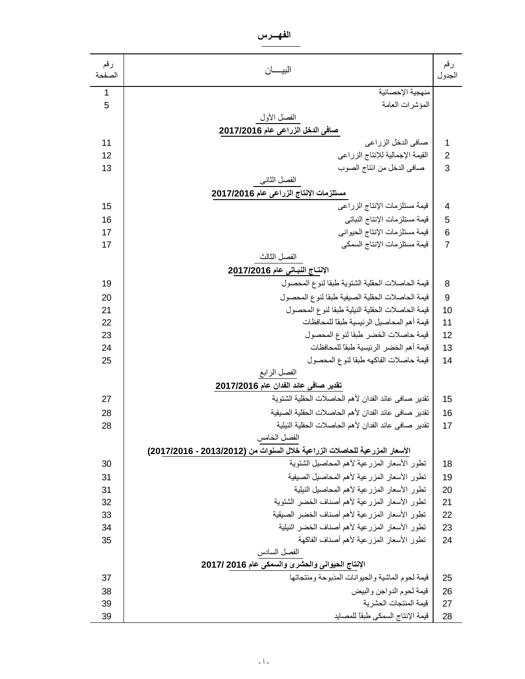**الفهـــرس**

| رقم<br>الصفحة | البيسان                                                                    | رقم<br>الجدول   |
|---------------|----------------------------------------------------------------------------|-----------------|
| $\mathbf{1}$  | منهجية الإحصائية                                                           |                 |
| 5             | المؤشرات العامة                                                            |                 |
|               | الفصل الأول                                                                |                 |
|               | صافي الدخل الزراعي عام 2017/2016                                           |                 |
| 11            | صافي الدخل الزراعي                                                         | 1               |
| 12            | القيمة الإجمالية للإنتاج الزراعي                                           | $\overline{2}$  |
| 13            | صافي الدخل من انتاج الصوب                                                  | 3               |
|               | الفصل الثاني                                                               |                 |
|               | مستلزمات الإنتاج الزراعي عام 2017/2016                                     |                 |
| 15            | قيمة مستلزمات الإنتاج الزراعي                                              | $\overline{4}$  |
| 16            | قيمة مستلزمات الإنتاج النباتي                                              | 5               |
| 17            | قيمة مستلزمات الإنتاج الحيواني                                             | $6\phantom{1}6$ |
| 17            | قيمة مستلز مات الإنتاج السمكي                                              | $\overline{7}$  |
|               | الفصل الثالث                                                               |                 |
|               | الإنتــاج النبــاتي عام 2017/2016                                          |                 |
| 19            | قيمة الحاصلات الحقلية الشتوية طبقا لنوع المحصول                            | 8               |
| 20            | قيمة الحاصلات الحقلية الصبيفية طبقا لنوع المحصول                           | 9               |
| 21            | قيمة الحاصلات الحقلية النيلية طبقا لنوع المحصول                            | 10              |
| 22            | قيمة أهم المحاصيل الرئيسية طبقا للمحافظات                                  | 11              |
| 23            | قيمة حاصلات الخضر طبقا لنوع المحصول                                        | 12              |
| 24            | قيمة أهم الخضر الرئيسية طبقا للمحافظات                                     | 13              |
| 25            | قيمة حاصلات الفاكهه طبقا لنوع المحصول                                      | 14              |
|               | الفصل الرابع                                                               |                 |
|               | تقدير صافي عائد الفدان عام 2017/2016                                       |                 |
| 27            | تقدير صافى عائد الفدان لأهم الحاصلات الحقلية الشتوية                       | 15              |
| 28            | تقدير صافى عائد الفدان لأهم الحاصلات الحقلية الصبيفية                      | 16              |
| 28            | تقدير صافى عائد الفدان لأهم الحاصلات الحقلية النيلية                       | 17              |
|               | الفصل الخامس                                                               |                 |
|               | الأسعار المزرعية للحاصلات الزراعية خلال السنوات من (2013/2012 - 2017/2016) |                 |
| 30            | نطور الأسعار المزرعية لأهم المحاصيل الشنوية                                | 18              |
| 31            | تطور الأسعار المزرعية لأهم المحاصيل الصيفية                                | 19              |
| 31            | تطور الأسعار المزرعية لأهم المحاصيل النيلية                                | 20              |
| 32            | تطور الأسعار المزرعية لأهم أصناف الخضر الشتوية                             | 21              |
| 33            | تطور الأسعار المزرعية لأهم أصناف الخضر الصيقية                             | 22              |
| 34            | تطور الأسعار المزرعية لأهم أصناف الخضر النيلية                             | 23              |
| 35            | تطور الأسعار المزرعية لأهم أصناف الفاكهة                                   | 24              |
|               | الفصل السادس                                                               |                 |
|               | الإنتاج الحيواني والحشرى والسمكي عام 2016 /2017                            |                 |
| 37            | قيمة لحوم الماشية والحيوانات المذبوحة ومنتجاتها                            | 25              |
| 38            | قيمة لحوم الدواجن والبيض                                                   | 26              |
| 39            | قيمة المنتجات الحشرية                                                      | 27              |
| 39            | فيمة الإنتاج السمكي طبقاً للمصايد                                          | 28              |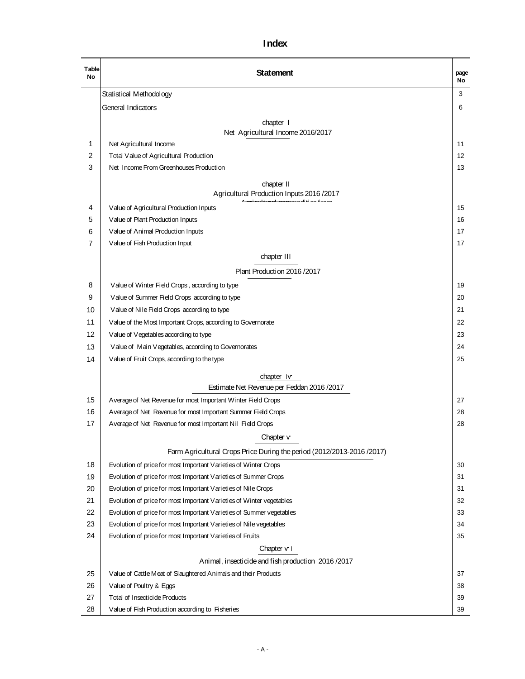#### **Index**

| Table<br>No | <b>Statement</b>                                                      | page<br>No |
|-------------|-----------------------------------------------------------------------|------------|
|             | Statistical Methodology                                               | 3          |
|             | General Indicators                                                    | 6          |
|             | chapter I                                                             |            |
|             | Net Agricultural Income 2016/2017                                     |            |
| 1           | Net Agricultural Income                                               | 11         |
| 2           | Total Value of Agricultural Production                                | 12         |
| 3           | Net Income From Greenhouses Production                                | 13         |
|             | chapter II                                                            |            |
|             | Agricultural Production Inputs 2016 / 2017                            |            |
| 4           | Value of Agricultural Production Inputs                               | 15         |
| 5           | Value of Plant Production Inputs                                      | 16         |
| 6           | Value of Animal Production Inputs                                     | 17         |
| 7           | Value of Fish Production Input                                        | 17         |
|             | chapter III                                                           |            |
|             | Plant Production 2016 / 2017                                          |            |
| 8           | Value of Winter Field Crops, according to type                        | 19         |
| 9           | Value of Summer Field Crops according to type                         | 20         |
| 10          | Value of Nile Field Crops according to type                           | 21         |
| 11          | Value of the Most Important Crops, according to Governorate           |            |
| 12          | Value of Vegetables according to type                                 | 23         |
| 13          | Value of Main Vegetables, according to Governorates                   |            |
| 14          | Value of Fruit Crops, according to the type                           | 25         |
|             | chapter Iv                                                            |            |
|             | Estimate Net Revenue per Feddan 2016 /2017                            |            |
| 15          | Average of Net Revenue for most Important Winter Field Crops          | 27         |
| 16          | Average of Net Revenue for most Important Summer Field Crops          | 28         |
| 17          | Average of Net Revenue for most Important Nil Field Crops             | 28         |
|             | Chapter v                                                             |            |
|             | Farm Agricultural Crops Price During the period (2012/2013-2016/2017) |            |
| 18          | Evolution of price for most Important Varieties of Winter Crops       | 30         |
| 19          | Evolution of price for most Important Varieties of Summer Crops       | 31         |
| 20          | Evolution of price for most Important Varieties of Nile Crops         | 31         |
| 21          | Evolution of price for most Important Varieties of Winter vegetables  | 32         |
| 22          | Evolution of price for most Important Varieties of Summer vegetables  | 33         |
| 23          | Evolution of price for most Important Varieties of Nile vegetables    | 34         |
| 24          | Evolution of price for most Important Varieties of Fruits             | 35         |
|             | Chapter $v \mid$                                                      |            |
|             | Animal, insecticide and fish production 2016/2017                     |            |
| 25          | Value of Cattle Meat of Slaughtered Animals and their Products        | 37         |
| 26          | Value of Poultry & Eggs                                               | 38         |
| 27          | Total of Insecticide Products                                         | 39         |
| 28          | Value of Fish Production according to Fisheries                       | 39         |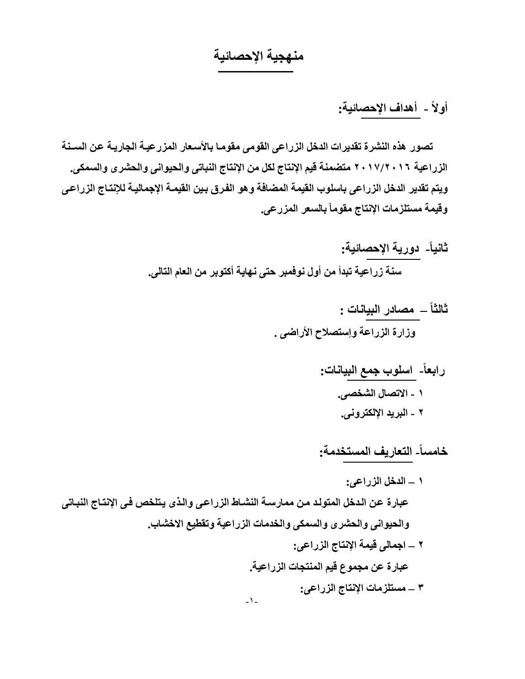## **منهجية الإحصائية**

# **أولاً - أهداف الإحصائية :**

 **تصور هذه النشرة تقديرات الدخل الزراعى القومى مقوم�ا بالأس�عار المزرعي�ة الجاري�ة ع�ن الس�ـنة الزراعية ۲۰۱۷/۲۰۱٦ متضمنة قيم الإنتاج لكل من الإنتاج النباتى والحيوانى والحشرى والسمكى . ويتم تقدير الدخل الزراعى ب سا لوب القيمة المضافة وهو الف�رق ب�ين القيم�ة الإجمالي�ة للإنت�اج الزراع�ى وقيمة مستلزمات الإنتاج مقوماً بالسعر المزرعى.** 

- **ثانيا-ً دورية الإحصائية : سنة زراعية تبدأ من أول نوفمبر حتى نهاية أكتوبر من العام التالى .**
	- **ثالثاً مصادر البيانات : وزارة الزراعة وإستصلاح الأراضى .** 
		- **رابعا-ً اسلوب جمع البيانات : ۱ - الاتصال الشخصى . ۲ - البريد الإلكترونى .**

**خامساً - التعاريف المستخدمة :**

**۱ – الدخل الزراعى :** عبارة عن الدخل المتولد من ممارســة النشــاط الزراع*ـى* والـذى يـتلخص فـ*ى* الإنتـاج النبــات*ى* **والحيوانى والحشرى والسمكى والخدمات الزراعية وتقطيع الاخشاب . ۲ – اجمالى قيمة الإنتاج الزراعى : عبارة عن مجموع قيم المنتجات الزراعية . ۳ – مستلزمات الإنتاج الزراعى :** -۱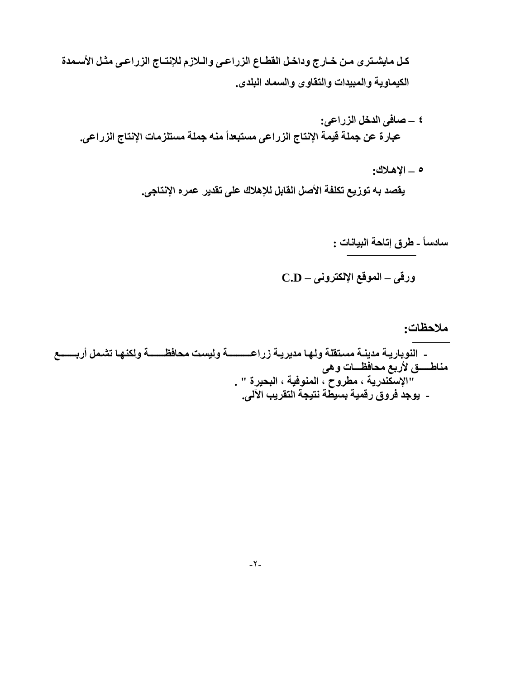كل مايشـترى مـن خـارج وداخـل القطـاع الزراعـي والـلازم للإنتـاج الزراعـي مثـل الأسـمدة الكيماوية والمبيدات والتقاوى والسماد البلدى.

- ٤ \_ صافى الدخل الزراعي: عبارة عن جملة قيمة الإنتاج الزراعي مستبعداً منه جملة مستلزمات الإنتاج الزراعي.
	- ه \_ الإهلاك: يقصد به توزيع تكلفة الأصل القابل للإهلاك على تقدير عمره الإنتاجي.

سادساً ـ طرق إتاحة البيانات :

$$
C.D - \text{Lip} \text{ (i.e., } -\text{tr} \text{)}
$$

ملاحظات: - النوباريــة مدينــة مسـتقلـة ولـهـا مديريــة زراعـــــــــــة وليست محافظــــــــة ولكنـهـا تشـمل أربـــــــع مناطستي لأربع محافظسات وهي "الإسكّندرية ، مطروح ، المنوفية ، البحيرة " . - يوجد فروق رقمية بسيطة نتيجة التقريب الآلي.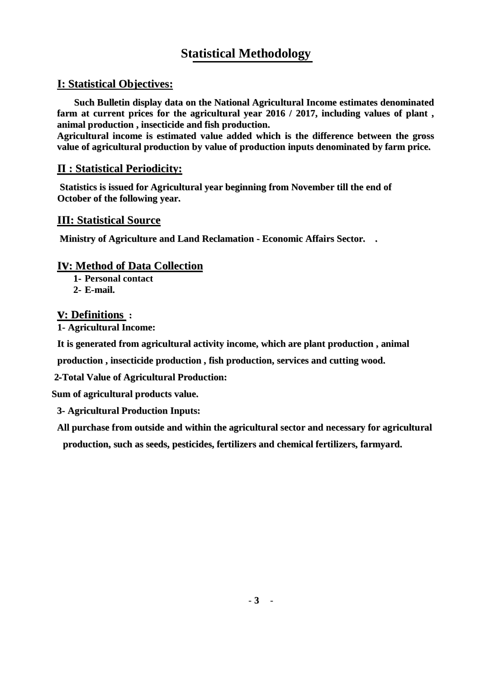# **Statistical Methodology**

## **І: Statistical Objectives:**

 **Such Bulletin display data on the National Agricultural Income estimates denominated farm at current prices for the agricultural year 2016 / 2017, including values of plant , animal production , insecticide and fish production.**

**Agricultural income is estimated value added which is the difference between the gross value of agricultural production by value of production inputs denominated by farm price.**

#### **П : Statistical Periodicity:**

**Statistics is issued for Agricultural year beginning from November till the end of October of the following year.**

#### **ІП: Statistical Source**

**Ministry of Agriculture and Land Reclamation - Economic Affairs Sector. .**

#### **Іv: Method of Data Collection**

**1- Personal contact 2- E-mail.**

#### **v: Definitions :**

**1- Agricultural Income:**

**It is generated from agricultural activity income, which are plant production , animal**

**production , insecticide production , fish production, services and cutting wood.**

 **2-Total Value of Agricultural Production:**

 **Sum of agricultural products value.** 

**3- Agricultural Production Inputs:**

**All purchase from outside and within the agricultural sector and necessary for agricultural**

**production, such as seeds, pesticides, fertilizers and chemical fertilizers, farmyard.**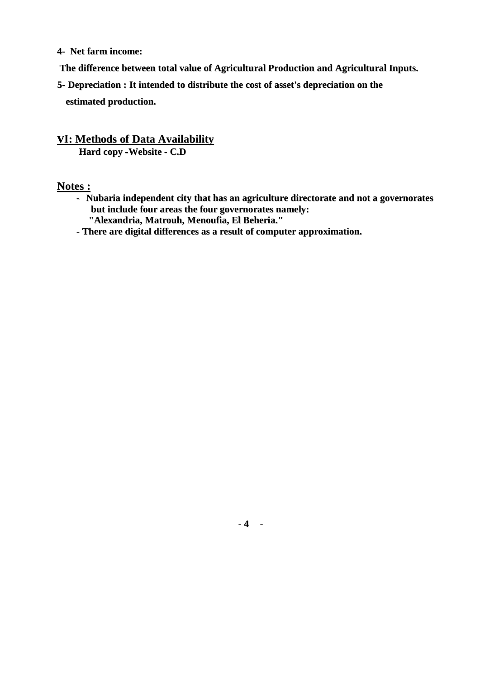- **4- Net farm income:**
- **The difference between total value of Agricultural Production and Agricultural Inputs.**
- **5- Depreciation : It intended to distribute the cost of asset's depreciation on the estimated production.**

#### **vІ: Methods of Data Availability**

**Hard copy -Website - C.D**

#### **Notes :**

- **Nubaria independent city that has an agriculture directorate and not a governorates but include four areas the four governorates namely: "Alexandria, Matrouh, Menoufia, El Beheria."**
- **- There are digital differences as a result of computer approximation.**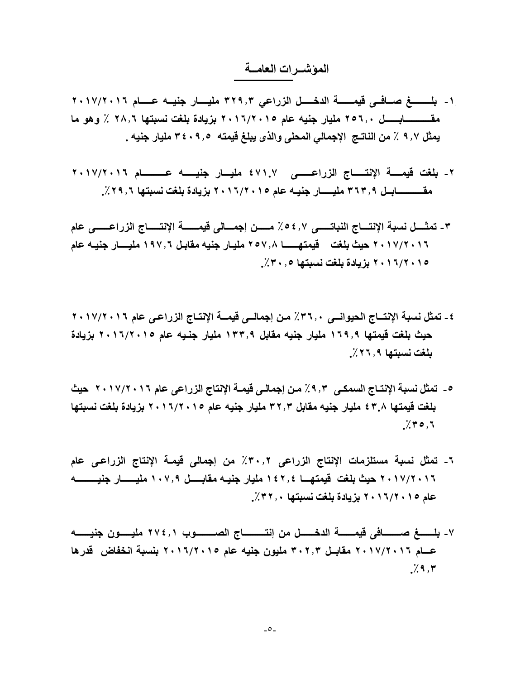#### **المؤشــرات العامــة**

- .١- بلسســغ صــافــي قيمــــــــة الدخــــل الزراعي ٣٢٩٫٣ مليســار جنيــه عـــــام ٢٠١٧/٢٠١٦ **مقـــــــــــابــ ــــ ل ۲٥٦٫۰ مليار جنيه عام ۲۰۱٦/۲۰۱٥ بزيادة بلغت نسبتها ۲۸٫٦ ٪ وهو ما يمثل ۹٫۷ ٪ من النات جـ الإجمالي المحلى والذى يبلغ قيمته ۳٤۰۹٫٥ مليار جنيه .**
- **۲ - بلغت قيمــــة الإنت ـــــ اج الزراعــــــى ٤۷۱.۷ مليـــار جنيـــــه عــــــــــام ۲۰۱۷/۲۰۱٦ مقـــــــــــاب ل ــ ۳٦۳٫۹ مليـــــار جنيـه عام ۲۰۱٦/۲۰۱٥ بزيادة بلغت نسبتها ٪۲۹٫٦ .**
- **۳ - تمثــــل نسبة الإنتـــاج النباتـــــى ٪٥٤٫۷ مـــــن إجمـــالى قيمــــــة الإنتـــــاج الزراعــــــى عام ۲۰۱۷/۲۰۱٦ حيث بلغت قيمتهــــــا ۲٥۷٫۸ مليـار جنيه مقابـل ۱۹۷٫٦ مليــــار جنيـه عام ۲۰۱٦/۲۰۱٥ بزيادة بلغت نسبتها ٪۳۰٫٥ .**
- **٤ - تمثل نسبة الإنتــاج الحيوانــى ٪۳٦٫۰ مـن إجمالــى قيم ــ ة الإنتـاج الزراعـى عام ۲۰۱۷/۲۰۱٦ حيث بلغت قيمتها ۱٦۹٫۹ مليار جنيه مقابل ۱۳۳٫۹ مليار جنـيه عام ۲۰۱٦/۲۰۱٥ بزيادة بلغت نسبتها ٪۲٦٫۹ .**
- **٥ - تمثل نسبة الإنتـاج السمكـى ٪۹٫۳ ـم ن إجمالـى قيمـة الإنتاج الزراعى عام ۲۰۱۷/۲۰۱٦ حيث بلغت قيمتها ٤۳.۸ مليار جنيه مقابل ۳۲٫۳ مليار جنيه عام ۲۰۱٦/۲۰۱٥ بزيادة بلغت نسبتها . ٪۳٥٫٦**
- **٦ - تمثل نسبة مستلزمات الإنتاج الزراعى ٪۳۰٫۲ من إجمالى قيمـة الإنتاج الزراعـى عام ۲۰۱۷/۲۰۱٦ حيث بلغت قيمتهـــا ۱٤۲٫٤ مليار جني هـ مقابـــــل ۱۰۷٫۹ مليــــــار جنيـــــــــه عام ۲۰۱٦/۲۰۱٥ بزيادة بلغت نسبتها ٪۳۲٫۰ .**
- **۷ - بلــــــغ صـــــــافى قيمــــــة الدخــــــل من إنتـــــــــاج الصــــــــوب ۲۷٤٫۱ مليـــــون جني ـــــ ـه عـــام ۲۰۱۷/۲۰۱٦ مقابــل ۳۰۲٫۳ مليون جنيه عام ۲۰۱٦/۲۰۱٥ بنسبة انخفاض قدرها . ٪۹٫۳**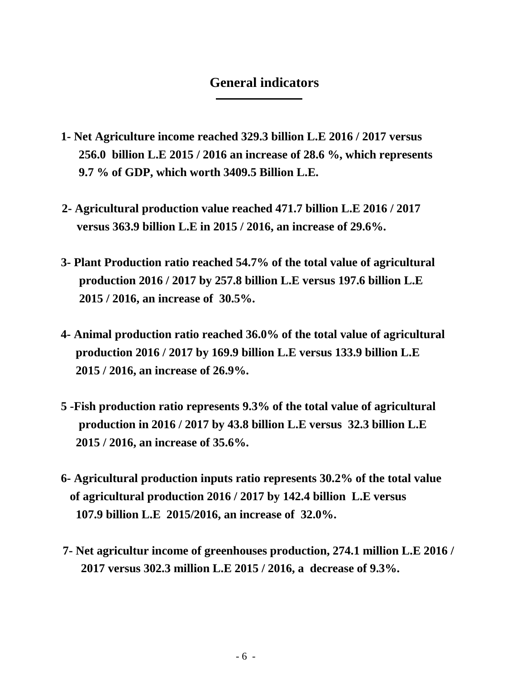## **General indicators**

- **1- Net Agriculture income reached 329.3 billion L.E 2016 / 2017 versus 256.0 billion L.E 2015 / 2016 an increase of 28.6 %, which represents 9.7 % of GDP, which worth 3409.5 Billion L.E.**
- **2- Agricultural production value reached 471.7 billion L.E 2016 / 2017 versus 363.9 billion L.E in 2015 / 2016, an increase of 29.6%.**
- **3- Plant Production ratio reached 54.7% of the total value of agricultural production 2016 / 2017 by 257.8 billion L.E versus 197.6 billion L.E 2015 / 2016, an increase of 30.5%.**
- **4- Animal production ratio reached 36.0% of the total value of agricultural production 2016 / 2017 by 169.9 billion L.E versus 133.9 billion L.E 2015 / 2016, an increase of 26.9%.**
- **5 -Fish production ratio represents 9.3% of the total value of agricultural production in 2016 / 2017 by 43.8 billion L.E versus 32.3 billion L.E 2015 / 2016, an increase of 35.6%.**
- **6- Agricultural production inputs ratio represents 30.2% of the total value of agricultural production 2016 / 2017 by 142.4 billion L.E versus 107.9 billion L.E 2015/2016, an increase of 32.0%.**
- **7- Net agricultur income of greenhouses production, 274.1 million L.E 2016 / 2017 versus 302.3 million L.E 2015 / 2016, a decrease of 9.3%.**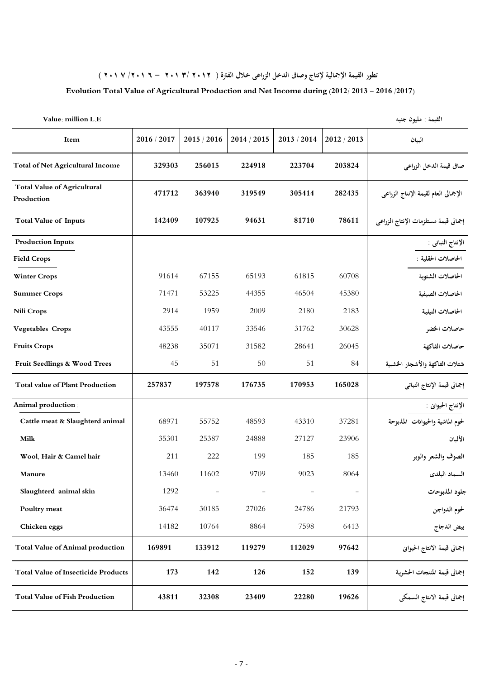**تطور القيمة اإمالية إنتاج وصاى الدخل الزراعى خال الفرة ) 2012 3 / 201 - 6 201 /7 201 (** 

#### **Evolution Total Value of Agricultural Production and Net Income during (2012/ 2013 - 2016 /2017)**

|  |  |  | <b>Value: million L.E</b> |  |
|--|--|--|---------------------------|--|
|--|--|--|---------------------------|--|

القيمة : مليون جنيه

| Item                                             | 2016 / 2017 | 2015 / 2016 | 2014 / 2015 | 2013 / 2014 | 2012 / 2013 | البيان                               |
|--------------------------------------------------|-------------|-------------|-------------|-------------|-------------|--------------------------------------|
| <b>Total of Net Agricultural Income</b>          | 329303      | 256015      | 224918      | 223704      | 203824      | صافي قيمة الدخل الزراعي              |
| <b>Total Value of Agricultural</b><br>Production | 471712      | 363940      | 319549      | 305414      | 282435      | الإجمالي العام لقيمة الإنتاج الزراعي |
| <b>Total Value of Inputs</b>                     | 142409      | 107925      | 94631       | 81710       | 78611       | إجمالي قيمة مستلزمات الإنتاج الزراعي |
| <b>Production Inputs</b>                         |             |             |             |             |             | الإنتاج النباتي :                    |
| <b>Field Crops</b>                               |             |             |             |             |             | الحاصلات الحقلية :                   |
| <b>Winter Crops</b>                              | 91614       | 67155       | 65193       | 61815       | 60708       | الحاصلات الشتوية                     |
| <b>Summer Crops</b>                              | 71471       | 53225       | 44355       | 46504       | 45380       | الحاصلات الصيفية                     |
| <b>Nili Crops</b>                                | 2914        | 1959        | 2009        | 2180        | 2183        | الحاصلات النيلية                     |
| <b>Vegetables Crops</b>                          | 43555       | 40117       | 33546       | 31762       | 30628       | حاصلات الخضر                         |
| <b>Fruits Crops</b>                              | 48238       | 35071       | 31582       | 28641       | 26045       | حاصلات الفاكهة                       |
| Fruit Seedlings & Wood Trees                     | 45          | 51          | 50          | 51          | 84          | شتلات الفاكهة والأشجار الخشبية       |
| <b>Total value of Plant Production</b>           | 257837      | 197578      | 176735      | 170953      | 165028      | إجمالي قيمة الإنتاج النباتي          |
| Animal production :                              |             |             |             |             |             | الإنتاج الحيواني :                   |
| Cattle meat & Slaughterd animal                  | 68971       | 55752       | 48593       | 43310       | 37281       | لحوم الماشية والحيوانات المذبوحة     |
| Milk                                             | 35301       | 25387       | 24888       | 27127       | 23906       | الألبان                              |
| Wool, Hair & Camel hair                          | 211         | 222         | 199         | 185         | 185         | الصوف والشعر والوبر                  |
| Manure                                           | 13460       | 11602       | 9709        | 9023        | 8064        | السماد البلدى                        |
| Slaughterd animal skin                           | 1292        |             |             |             |             | جلود المذبوحات                       |
| Poultry meat                                     | 36474       | 30185       | 27026       | 24786       | 21793       | لحوم الدواجن                         |
| Chicken eggs                                     | 14182       | 10764       | 8864        | 7598        | 6413        | بيض الدجاج                           |
| <b>Total Value of Animal production</b>          | 169891      | 133912      | 119279      | 112029      | 97642       | إجمالي قيمة الانتاج الحيواني         |
| <b>Total Value of Insecticide Products</b>       | 173         | 142         | 126         | 152         | 139         | إجمالي قيمة المنتجات الحشوية         |
| <b>Total Value of Fish Production</b>            | 43811       | 32308       | 23409       | 22280       | 19626       | إجمالي قيمة الانتاج السمكي           |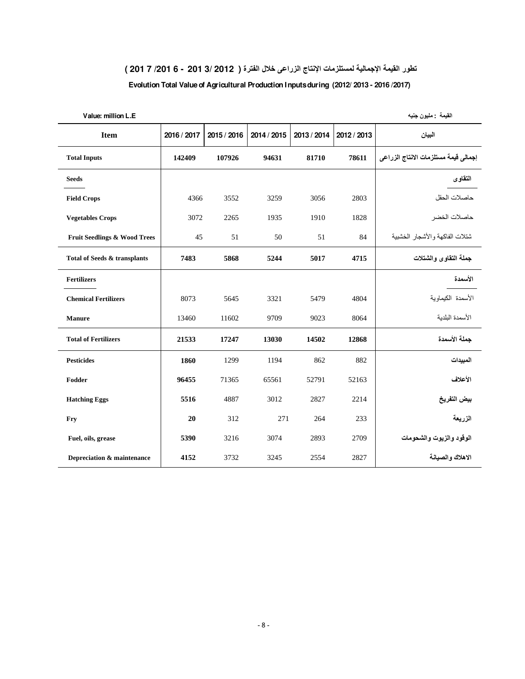#### **تطور القيمة الإجمالية لمستلزمات الإنتاج الزراعى خلال الفترة ( 2012 3/ 201 - 6 /201 7 201 )**

#### **Evolution Total Value of Agricultural Production Inputs during (2012/ 2013 - 2016 /2017)**

| Value: million L.E                      |             |             |             |             |             | القيمة : مليون جنيه                  |
|-----------------------------------------|-------------|-------------|-------------|-------------|-------------|--------------------------------------|
| <b>Item</b>                             | 2016 / 2017 | 2015 / 2016 | 2014 / 2015 | 2013 / 2014 | 2012 / 2013 | البيان                               |
| <b>Total Inputs</b>                     | 142409      | 107926      | 94631       | 81710       | 78611       | إجمالي فيمة مستلزمات الانتاج الزراعي |
| <b>Seeds</b>                            |             |             |             |             |             | النقاوى                              |
| <b>Field Crops</b>                      | 4366        | 3552        | 3259        | 3056        | 2803        | حاصلات الحقل                         |
| <b>Vegetables Crops</b>                 | 3072        | 2265        | 1935        | 1910        | 1828        | حاصلات الخضر                         |
| <b>Fruit Seedlings &amp; Wood Trees</b> | 45          | 51          | 50          | 51          | 84          | شتلات الفاكهة والأشجار الخشبية       |
| Total of Seeds & transplants            | 7483        | 5868        | 5244        | 5017        | 4715        | جملة التقاوى والشتلات                |
| Fertilizers                             |             |             |             |             |             | الأسمدة                              |
| <b>Chemical Fertilizers</b>             | 8073        | 5645        | 3321        | 5479        | 4804        | الأسمدة الكيماوية                    |
| <b>Manure</b>                           | 13460       | 11602       | 9709        | 9023        | 8064        | الأسمدة البلدية                      |
| <b>Total of Fertilizers</b>             | 21533       | 17247       | 13030       | 14502       | 12868       | جملة الأسمدة                         |
| <b>Pesticides</b>                       | 1860        | 1299        | 1194        | 862         | 882         | المبيدات                             |
| Fodder                                  | 96455       | 71365       | 65561       | 52791       | 52163       | الأعلاف                              |
| <b>Hatching Eggs</b>                    | 5516        | 4887        | 3012        | 2827        | 2214        | بيض التفريخ                          |
| Fry                                     | 20          | 312         | 271         | 264         | 233         | الزريعة                              |
| Fuel, oils, grease                      | 5390        | 3216        | 3074        | 2893        | 2709        | الوقود والزيوت والشحومات             |
| Depreciation & maintenance              | 4152        | 3732        | 3245        | 2554        | 2827        | الاهلاك والصبانة                     |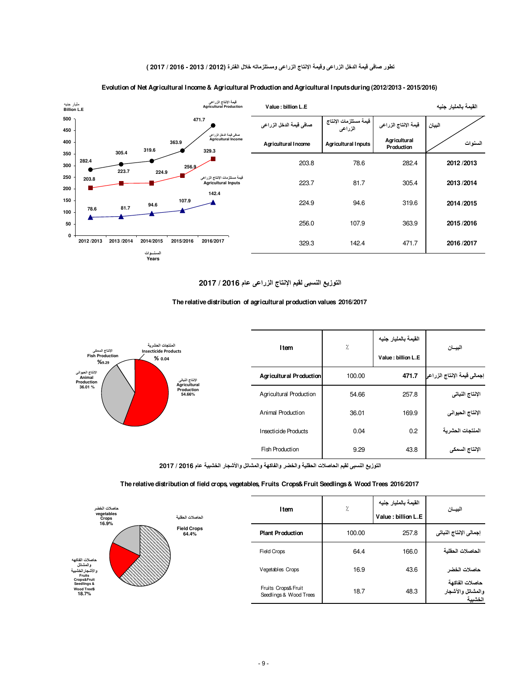#### **تطور صافى قيمة الدخل الزراعى وقيمة الإنتاج الزراعى ومستلزماته خلال الفترة (2012 / 2013 - 2016 / 2017 )**



#### **Evolution of Net Agricultural Income & Agricultural Production and Agricultural Inputs during (2012/2013 - 2015/2016)**

#### **التوزيع النسبى لقيم الإنتاج الزراعى عام 2016 / 2017**

#### **The relative distribution of agricultural production values 2016/2017**

| المنتحات الحشر بة                                                                                                                                                                                            |  |                                | Item            | ٪.                 | القيمة بالمليار جنيه        | البيسان        |
|--------------------------------------------------------------------------------------------------------------------------------------------------------------------------------------------------------------|--|--------------------------------|-----------------|--------------------|-----------------------------|----------------|
| الإنتاج السمكى<br><b>Insecticide Products</b><br><b>Fish Production</b><br>% 0.04<br>%9.29<br>الإنتاج الحيواني<br>Animal<br>الإنتاج النباتي<br>Production<br>Agricultural<br>36.01 %<br>Production<br>54.66% |  |                                |                 | Value: billion L.E |                             |                |
|                                                                                                                                                                                                              |  | <b>Agricultural Production</b> | 100.00          | 471.7              | إجمالى فيمة الإنتاج الزراعر |                |
|                                                                                                                                                                                                              |  | <b>Agricultural Production</b> | 54.66           | 257.8              | الإنتاج النباتي             |                |
|                                                                                                                                                                                                              |  | Animal Production              | 36.01           | 169.9              | الإنتاج الحيواني            |                |
|                                                                                                                                                                                                              |  | Insecticide Products           | 0.04            | 0.2                | المنتجات الحشرية            |                |
|                                                                                                                                                                                                              |  |                                | Fish Production | 9.29               | 43.8                        | الإنتاج السمكي |

**التوزيع النسبى لقيم الحاصلات الحقلية والخضر والفاكهة والمشاتل والأشجار الخشبية عام 2016 / 2017**

#### **The relative distribution of field crops, vegetables, Fruits Crops&Fruit Seedlings & Wood Trees 2016/2017**

| حاصلات الخضر<br>vegetables<br>Crops                                                                                         |                             | الحاصلات الحقلبة                              | Item   | γ.    | القيمة بالمليار جنيه<br>Value : billion L.E    | البيسان |
|-----------------------------------------------------------------------------------------------------------------------------|-----------------------------|-----------------------------------------------|--------|-------|------------------------------------------------|---------|
| 16.9%                                                                                                                       | <b>Field Crops</b><br>64.4% | <b>Plant Production</b>                       | 100.00 | 257.8 | إجمالي الإنناج النباتي                         |         |
| حاصلات الفاكهه<br>والعشاتل<br>والأشجار الخشبية<br><b>Fruits</b><br>Crops&Fruit<br>Seedlings &<br><b>Wood TreeS</b><br>18.7% |                             | Field Crops                                   | 64.4   | 166.0 | الحاصلات الحقلبة                               |         |
|                                                                                                                             |                             | Vegetables Crops                              | 16.9   | 43.6  | حاصلات الخضر                                   |         |
|                                                                                                                             |                             | Fruits Crops& Fruit<br>Seedlings & Wood Trees | 18.7   | 48.3  | حاصلات الفاكهة<br>والمشاتل والآشجار<br>الخشبية |         |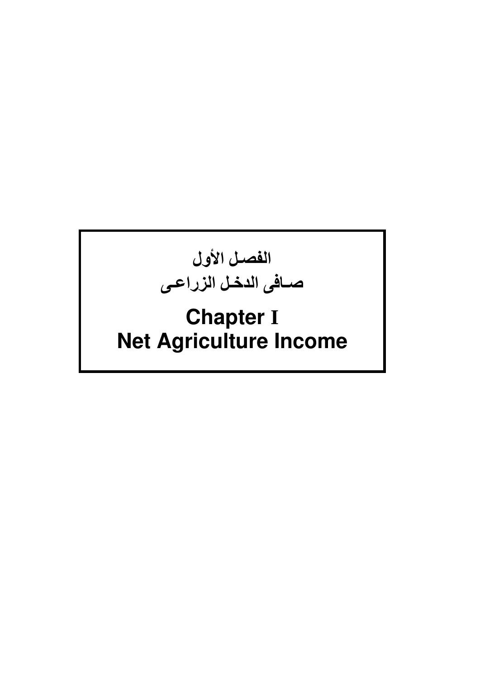

# **Chapter I Net Agriculture Income**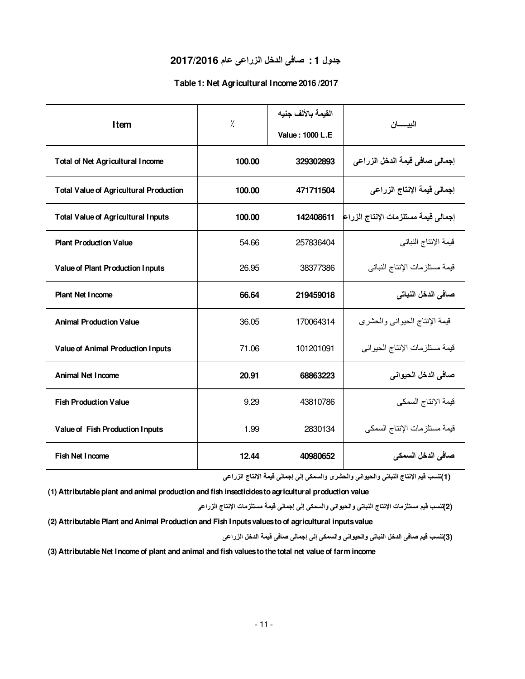#### **جدول 1 : صافى الدخل الزراعى عام 2017/2016**

#### **Table 1: Net Agricultural Income 2016 /2017**

| Item                                          | $\frac{1}{2}$ | القيمة بالألف جنيه | البيسان                             |  |
|-----------------------------------------------|---------------|--------------------|-------------------------------------|--|
|                                               |               | Value: 1000 L.E    |                                     |  |
| <b>Total of Net Agricultural Income</b>       | 100.00        | 329302893          | إجمالي صافي قيمة الدخل الزراعي      |  |
| <b>Total Value of Agricultural Production</b> | 100.00        | 471711504          | إجمالي قيمة الإنتاج الزراعي         |  |
| <b>Total Value of Agricultural Inputs</b>     | 100.00        | 142408611          | إجمالي قيمة مستلزمات الإنتاج الزراع |  |
| <b>Plant Production Value</b>                 | 54.66         | 257836404          | قيمة الإنتاج النباتي                |  |
| Value of Plant Production Inputs              | 26.95         | 38377386           | قيمة مستلزمات الإنتاج النباتي       |  |
| <b>Plant Net Income</b>                       | 66.64         | 219459018          | صافي الدخل النباتي                  |  |
| <b>Animal Production Value</b>                | 36.05         | 170064314          | قيمة الإنتاج الحيواني والحشري       |  |
| Value of Animal Production Inputs             | 71.06         | 101201091          | قيمة مستلز مات الإنتاج الحيو اني    |  |
| Animal Net Income                             | 20.91         | 68863223           | صافي الدخل الحيواني                 |  |
| <b>Fish Production Value</b>                  | 9.29          | 43810786           | قيمة الإنتاج السمكي                 |  |
| Value of Fish Production Inputs               | 1.99          | 2830134            | قيمة مستلز مات الإنتاج السمكي       |  |
| Fish Net Income                               | 12.44         | 40980652           | صافي الدخل السمكي                   |  |

 **(1) تنسب قيم الإنتاج النباتى والحيوانى والحشرى والسمكى إلى إجمالى قيمة الإنتاج الزراعى** 

**(1) Attributable plant and animal production and fish insecticides to agricultural production value** 

 **(2) تنسب قيم مستلزمات الإنتاج النباتى والحيوانى والسمكى إلى إجمالى قيمة مستلزمات الإنتاج الزراعى** 

**(2) Attributable Plant and Animal Production and Fish Inputs values to of agricultural inputs value**

 **(3) تنسب قيم صافى الدخل النباتى والحيوانى والسمكى إلى إجمالى صافى قيمة الدخل الزراعى** 

**(3) Attributable Net Income of plant and animal and fish values to the total net value of farm income**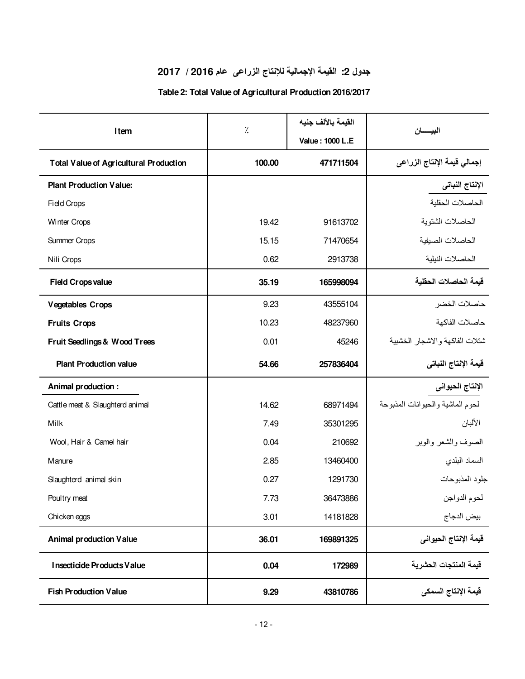## **جدول :2 القيمة الإجمالية للإنتاج الزراعى عام 2016 / 2017**

### **Table 2: Total Value of Agricultural Production 2016/2017**

|                                               | %      | القيمة بالألف جنيه |                                  |
|-----------------------------------------------|--------|--------------------|----------------------------------|
| Item                                          |        | Value: 1000 L.E    | البيسان                          |
| <b>Total Value of Agricultural Production</b> | 100.00 | 471711504          | إجمالي قيمة الإنتاج الزراعي      |
| <b>Plant Production Value:</b>                |        |                    | الإنتاج النباتي                  |
| <b>Field Crops</b>                            |        |                    | الحاصلات الحقلية                 |
| Winter Crops                                  | 19.42  | 91613702           | الحاصلات الشتوية                 |
| Summer Crops                                  | 15.15  | 71470654           | الحاصلات الصيفية                 |
| Nili Crops                                    | 0.62   | 2913738            | الحاصلات النيلية                 |
| <b>Field Crops value</b>                      | 35.19  | 165998094          | فيمة الحاصلات الحقلية            |
| <b>Vegetables Crops</b>                       | 9.23   | 43555104           | حاصلات الخضر                     |
| <b>Fruits Crops</b>                           | 10.23  | 48237960           | حاصلات الفاكهة                   |
| Fruit Seedlings & Wood Trees                  | 0.01   | 45246              | شتلات الفاكهة والاشجار الخشبية   |
| <b>Plant Production value</b>                 | 54.66  | 257836404          | فيمة الإنتاج النباتي             |
| Animal production:                            |        |                    | الإنتاج الحيواني                 |
| Cattle meat & Slaughterd animal               | 14.62  | 68971494           | لحوم الماشية والحيوانات المذبوحة |
| Milk                                          | 7.49   | 35301295           | الألبان                          |
| Wool, Hair & Camel hair                       | 0.04   | 210692             | الصوف والشعر والوبر              |
| Manure                                        | 2.85   | 13460400           | السماد البلدي                    |
| Slaughterd animal skin                        | 0.27   | 1291730            | جلود المذبوحات                   |
| Poultry meat                                  | 7.73   | 36473886           | لحوم الدواجن                     |
| Chicken eggs                                  | 3.01   | 14181828           | بيض الدجاج                       |
| <b>Animal production Value</b>                | 36.01  | 169891325          | فيمة الإنتاج الحيواني            |
| Insecticide Products Value                    | 0.04   | 172989             | قيمة المنتجات الحشرية            |
| <b>Fish Production Value</b>                  | 9.29   | 43810786           | قيمة الإنتاج السمكي              |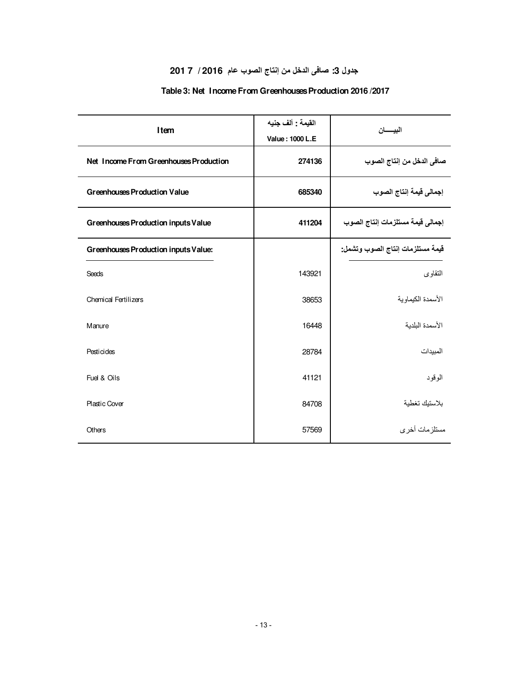## **جدول :3 صافى الدخل من إنتاج الصوب عام 2016 / 7 201**

#### **Table 3: Net Income From Greenhouses Production 2016 /2017**

| Item                                   | القيمة : ألف جنيه<br>Value: 1000 L.E | البيسسان                         |
|----------------------------------------|--------------------------------------|----------------------------------|
| Net Income From Greenhouses Production | 274136                               | صافي الدخل من إنتاج الصوب        |
| <b>Greenhouses Production Value</b>    | 685340                               | إجمالي قيمة إنتاج الصوب          |
| Greenhouses Production inputs Value    | 411204                               | إجمالي قيمة مستلزمات إنتاج الصوب |
| Greenhouses Production inputs Value:   |                                      | فيمة مستلزمات إنتاج الصوب وتشمل: |
| Seeds                                  | 143921                               | التقاوى                          |
| <b>Chemical Fertilizers</b>            | 38653                                | الأسمدة الكبماوبة                |
| Manure                                 | 16448                                | الأسمدة البلدبة                  |
| Pesticides                             | 28784                                | المبيدات                         |
| Fuel & Oils                            | 41121                                | الوقود                           |
| <b>Plastic Cover</b>                   | 84708                                | بلاستيك تغطية                    |
| Others                                 | 57569                                | مستلز مات أخر ي                  |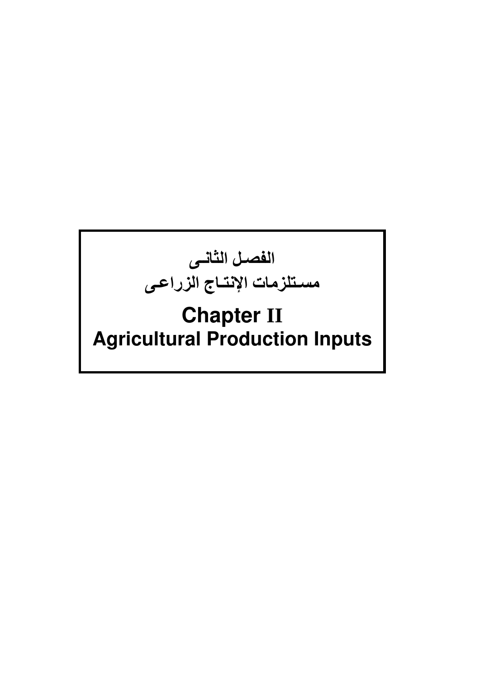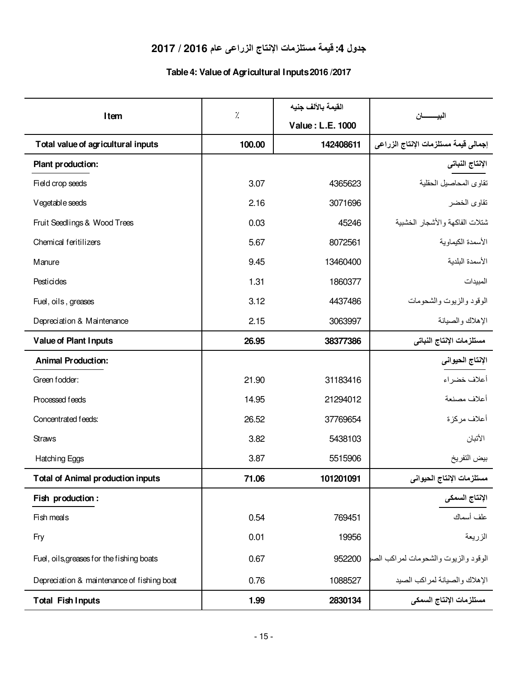## **جدول :4 قيمة مستلزمات الإنتاج الزراعى عام 2016 / 2017**

### **Table 4: Value of Agricultural Inputs 2016 /2017**

|                                            |        | القيمة بالألف جنيه |                                      |
|--------------------------------------------|--------|--------------------|--------------------------------------|
| Item                                       | ٪.     | Value: L.E. 1000   | البيـــــــــــان                    |
| Total value of agricultural inputs         | 100.00 | 142408611          | إجمالي فيمة مستلزمات الإنتاج الزراعي |
| Plant production:                          |        |                    | الإنتاج النباتي                      |
| Field crop seeds                           | 3.07   | 4365623            | تقاوى المحاصيل الحقلية               |
| Vegetable seeds                            | 2.16   | 3071696            | تقاوى الخضر                          |
| Fruit Seedlings & Wood Trees               | 0.03   | 45246              | شتلات الفاكهة والأشجار الخشبية       |
| Chemical feritilizers                      | 5.67   | 8072561            | الأسمدة الكيماوية                    |
| Manure                                     | 9.45   | 13460400           | الأسمدة البلدية                      |
| Pesticides                                 | 1.31   | 1860377            | المبيدات                             |
| Fuel, oils, greases                        | 3.12   | 4437486            | الوقود والزيوت والشحومات             |
| Depreciation & Maintenance                 | 2.15   | 3063997            | الإهلاك والصيانة                     |
| <b>Value of Plant Inputs</b>               | 26.95  | 38377386           | مستلزمات الإنتاج النباتى             |
| <b>Animal Production:</b>                  |        |                    | الإنتاج الحيواني                     |
| Green fodder:                              | 21.90  | 31183416           | أعلاف خضراء                          |
| Processed feeds                            | 14.95  | 21294012           | أعلاف مصنعة                          |
| Concentrated feeds:                        | 26.52  | 37769654           | أعلاف مركزة                          |
| <b>Straws</b>                              | 3.82   | 5438103            | الأتبان                              |
| Hatching Eggs                              | 3.87   | 5515906            | بيض التفريخ                          |
| <b>Total of Animal production inputs</b>   | 71.06  | 101201091          | مستلزمات الإنتاج الحيواني            |
| Fish production :                          |        |                    | الإنتاج السمكى                       |
| Fish meals                                 | 0.54   | 769451             | علف أسماك                            |
| Fry                                        | 0.01   | 19956              | الزريعة                              |
| Fuel, oils, greases for the fishing boats  | 0.67   | 952200             | الوقود والزيوت والشحومات لمراكب الصه |
| Depreciation & maintenance of fishing boat | 0.76   | 1088527            | الإهلاك والصيانة لمراكب الصيد        |
| <b>Total Fish Inputs</b>                   | 1.99   | 2830134            | مستلزمات الإنتاج السمكى              |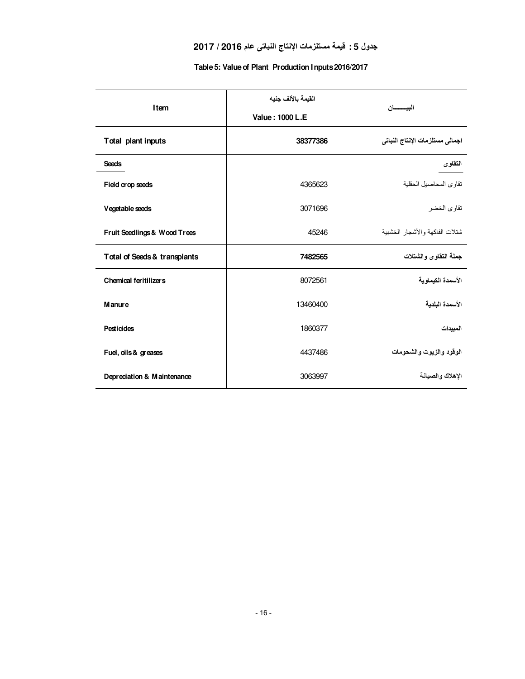#### **جدول 5 : قيمة مستلزمات الإنتاج النباتى عام 2016 / 2017**

| Item                         | القيمة بالألف جنيه<br>Value: 1000 L.E. | البيـــــــان                   |
|------------------------------|----------------------------------------|---------------------------------|
| Total plant inputs           | 38377386                               | اجمالى مستلزمات الإنتاج النباتي |
| <b>Seeds</b>                 |                                        | التقاوى                         |
| Field crop seeds             | 4365623                                | تقاوى المحاصيل الحقلية          |
| Vegetable seeds              | 3071696                                | تقاوى الخضر                     |
| Fruit Seedlings & Wood Trees | 45246                                  | شتلات الفاكهة والأشجار الخشبية  |
| Total of Seeds & transplants | 7482565                                | جملة التقاوى والشتلات           |
| <b>Chemical feritilizers</b> | 8072561                                | الأسمدة الكيماوية               |
| <b>Manure</b>                | 13460400                               | الأسمدة البلدبة                 |
| <b>Pesticides</b>            | 1860377                                | المبيدات                        |
| Fuel, oils & greases         | 4437486                                | الوقود والزيوت والشحومات        |
| Depreciation & Maintenance   | 3063997                                | الاهلاك والصبانة                |

#### **Table 5: Value of Plant Production Inputs 2016/2017**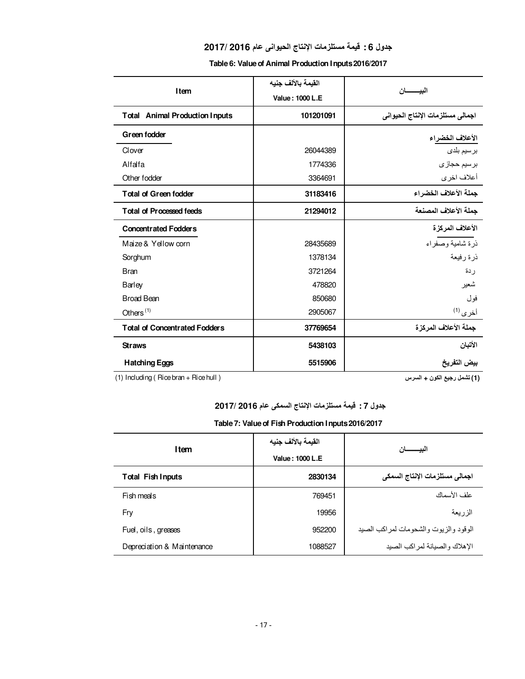#### **جدول 6 : قيمة مستلزمات الإنتاج الحيوانى عام 2016 2017/**

|  |  | Table 6: Value of Animal Production Inputs 2016/2017 |  |
|--|--|------------------------------------------------------|--|
|  |  |                                                      |  |

|                                       | القيمة بالألف جنبه | الننسسد                          |  |
|---------------------------------------|--------------------|----------------------------------|--|
| <b>Item</b>                           | Value: 1000 L.E    |                                  |  |
| <b>Total Animal Production Inputs</b> | 101201091          | اجمالى مستلزمات الإنتاج الحيواني |  |
| Green fodder                          |                    | الأعلاف الخضراء                  |  |
| Clover                                | 26044389           | برسيم بلدى                       |  |
| Alfalfa                               | 1774336            | بر سيم حجاز ي                    |  |
| Other fodder                          | 3364691            | أعلاف اخرى                       |  |
| <b>Total of Green fodder</b>          | 31183416           | جملة الأعلاف الخضراء             |  |
| <b>Total of Processed feeds</b>       | 21294012           | جملة الأعلاف المصنعة             |  |
| <b>Concentrated Fodders</b>           |                    | الأعلاف المركزة                  |  |
| Maize & Yellow corn                   | 28435689           | ذرة شامية وصفراء                 |  |
| Sorghum                               | 1378134            | ذرة رفيعة                        |  |
| <b>Bran</b>                           | 3721264            | ر دة                             |  |
| Barley                                | 478820             | شعير                             |  |
| <b>Broad Bean</b>                     | 850680             | فول                              |  |
| Others $(1)$                          | 2905067            | أخرى <sup>(1)</sup>              |  |
| <b>Total of Concentrated Fodders</b>  | 37769654           | جملة الأعلاف المركزة             |  |
| <b>Straws</b>                         | 5438103            | الأتبان                          |  |
| <b>Hatching Eggs</b>                  | 5515906            | بيض التفريخ                      |  |

(1) Including ( Rice bran + Rice hull )

 **(1) تشمل رجيع الكون + السرس**

**جدول 7 : قيمة مستلزمات الإنتاج السمكى عام 2016 2017/** 

|  |  |  | Table 7: Value of Fish Production Inputs 2016/2017 |
|--|--|--|----------------------------------------------------|
|--|--|--|----------------------------------------------------|

| Item                       | القيمة بالألف جنيه | ليي                                   |  |
|----------------------------|--------------------|---------------------------------------|--|
|                            | Value: 1000 L.E    |                                       |  |
| <b>Total Fish Inputs</b>   | 2830134            | اجمالى مستلزمات الإنتاج السمكي        |  |
| Fish meals                 | 769451             | علف الأسماك                           |  |
| Fry                        | 19956              | الزريعة                               |  |
| Fuel, oils, greases        | 952200             | الوقود والزيوت والشحومات لمراكب الصبد |  |
| Depreciation & Maintenance | 1088527            | الإهلاك والصيانة لمراكب الصيد         |  |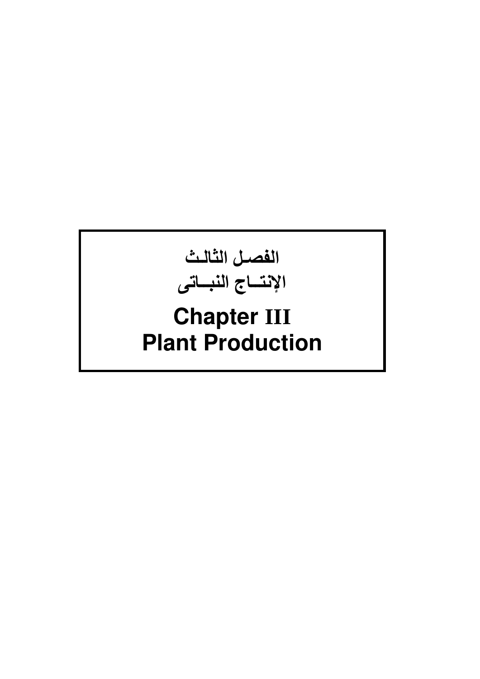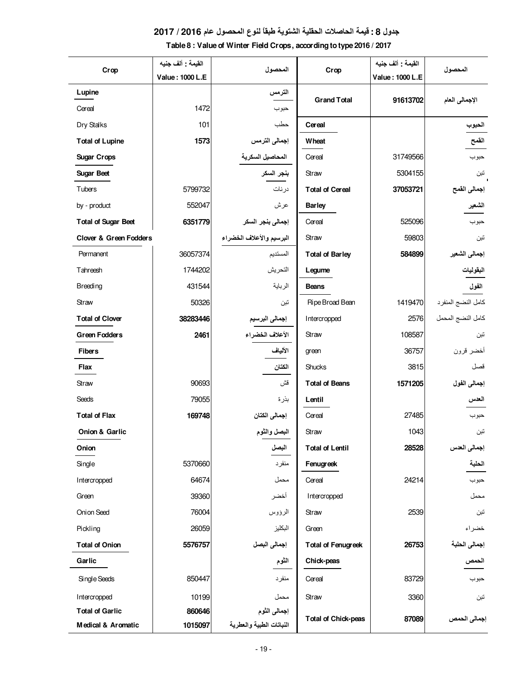#### **جدول 8 : قيمة الحاصلات الحقلية الشتوية طبقاً لنوع المحصول عام 2016 / 2017**

| Table 8 : Value of Winter Field Crops, according to type 2016 / 2017 |  |
|----------------------------------------------------------------------|--|
|----------------------------------------------------------------------|--|

| Crop                              | القيمة : ألف جنيه | المحصول                  | Crop                       | القيمة : ألف جنيه | المحصول            |
|-----------------------------------|-------------------|--------------------------|----------------------------|-------------------|--------------------|
|                                   | Value: 1000 L.E   |                          |                            | Value: 1000 L.E   |                    |
| Lupine                            |                   | الترمس                   | <b>Grand Total</b>         | 91613702          | الإجمالي العام     |
| Cereal                            | 1472              | حبوب                     |                            |                   |                    |
| Dry Stalks                        | 101               | حطب                      | Cereal                     |                   | الحبوب             |
| <b>Total of Lupine</b>            | 1573              | إجمالى الترمس            | <b>Wheat</b>               |                   | القمح              |
| <b>Sugar Crops</b>                |                   |                          | Cereal                     | 31749566          | حبوب               |
| <b>Sugar Beet</b>                 |                   | بنجر السكر               | Straw                      | 5304155           | تين                |
| Tubers                            | 5799732           | درنات                    | <b>Total of Cereal</b>     | 37053721          | إجمالى القمح       |
| by - product                      | 552047            | عرش                      | <b>Barley</b>              |                   | الشعير             |
| <b>Total of Sugar Beet</b>        | 6351779           | إجمالي بنجر السكر        | Cereal                     | 525096            | حبوب               |
| <b>Clover &amp; Green Fodders</b> |                   | البرسيم والأعلاف الخضراء | Straw                      | 59803             | تبن                |
| Permanent                         | 36057374          | المستديم                 | <b>Total of Barley</b>     | 584899            | إجمالي الشعير      |
| Tahreesh                          | 1744202           | التحريش                  | Legume                     |                   | البقوليات          |
| <b>Breeding</b>                   | 431544            | الرباية                  | <b>Beans</b>               |                   | الفول              |
| Straw                             | 50326             | تبن                      | Ripe Broad Bean            | 1419470           | كامل النضج المنفرد |
| <b>Total of Clover</b>            | 38283446          | إجمالي البرسيم           | Intercropped               | 2576              | كامل النضج المحمل  |
| <b>Green Fodders</b>              | 2461              | الأعلاف الخضراء          | Straw                      | 108587            | تبن                |
| <b>Fibers</b>                     |                   | الألياف                  | green                      | 36757             | أخضر قرون          |
| Flax                              |                   | الكتان                   | Shucks                     | 3815              | قصل                |
| Straw                             | 90693             | قش                       | <b>Total of Beans</b>      | 1571205           | إجمالي الفول       |
| Seeds                             | 79055             | بذرة                     | Lentil                     |                   | العدس              |
| <b>Total of Flax</b>              | 169748            | إجمالي الكتان            | Cereal                     | 27485             | حبوب               |
| Onion & Garlic                    |                   | البصل والثوم             | Straw                      | 1043              | تين                |
| Onion                             |                   | البصل                    | <b>Total of Lentil</b>     | 28528             | إجمالي العدس       |
| Single                            | 5370660           | منفرد                    | Fenugreek                  |                   | الحلبة             |
| Intercropped                      | 64674             | محمل                     | Cereal                     | 24214             | حبوب               |
| Green                             | 39360             | أخضر                     | Intercropped               |                   | محمل               |
| Onion Seed                        | 76004             | الرؤوس                   | Straw                      | 2539              | تين                |
| Pickling                          | 26059             | البكليز                  | Green                      |                   | خضراء              |
| <b>Total of Onion</b>             | 5576757           | إجمالي البصل             | <b>Total of Fenugreek</b>  | 26753             | إجمالى الحلبة      |
| Garlic                            |                   | الثوم                    | Chick-peas                 |                   | الحمص              |
| Single Seeds                      | 850447            | منفرد                    | Cereal                     | 83729             | حبوب               |
| Intercropped                      | 10199             | محمل                     | Straw                      | 3360              | تىن                |
| <b>Total of Garlic</b>            | 860646            | إجمالى الثوم             |                            |                   |                    |
| Medical & Aromatic                | 1015097           | النباتات الطبية والعطرية | <b>Total of Chick-peas</b> | 87089             | إجمالي الحمص       |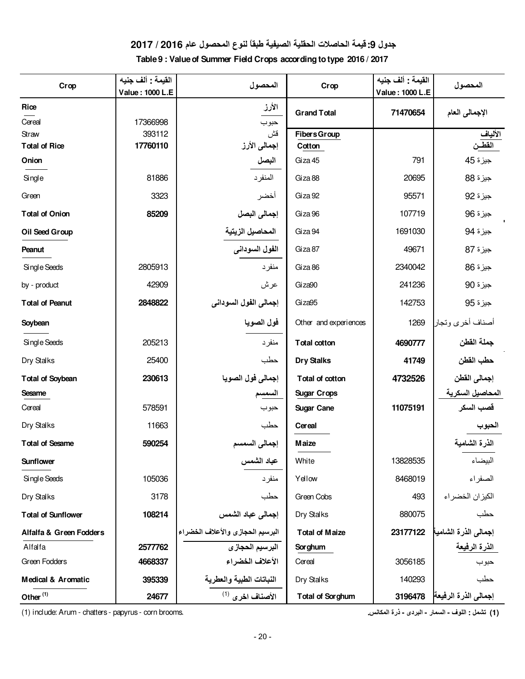### **جدول :9 قيمة الحاصلات الحقلية الصيفية طبقاً لنوع المحصول عام 2016 / 2017**

**Table 9 : Value of Summer Field Crops according to type 2016 / 2017**

| Crop                          | القيمة : ألف جنيه<br>Value: 1000 L.E | المحصول                          | Crop                    | القيمة : ألف جنيه<br>Value: 1000 L.E | المحصول              |
|-------------------------------|--------------------------------------|----------------------------------|-------------------------|--------------------------------------|----------------------|
|                               |                                      |                                  |                         |                                      |                      |
| Rice                          |                                      | الأرز                            | <b>Grand Total</b>      | 71470654                             | الإجمالي العام       |
| Cereal                        | 17366998<br>393112                   | حبوب<br>قش                       | <b>Fibers Group</b>     |                                      |                      |
| Straw<br><b>Total of Rice</b> | 17760110                             | إجمالي الأرز                     | Cotton                  |                                      | الألياف<br>القطــن   |
| Onion                         |                                      | البصل                            | Giza 45                 | 791                                  | جيزة 45              |
|                               |                                      |                                  |                         |                                      |                      |
| Single                        | 81886                                | المنفر د                         | Giza 88                 | 20695                                | جيزة 88              |
| Green                         | 3323                                 | أخضر                             | Giza 92                 | 95571                                | جيزة 92              |
| <b>Total of Onion</b>         | 85209                                | إجمالي البصل                     | Giza <sub>96</sub>      | 107719                               | جيزة 96              |
| Oil Seed Group                |                                      | المحاصيل الزيتية                 | Giza 94                 | 1691030                              | جيزة 94              |
| Peanut                        |                                      | الفول السوداني                   | Giza 87                 | 49671                                | جيزة 87              |
| Single Seeds                  | 2805913                              | منفرد                            | Giza 86                 | 2340042                              | جيزة 86              |
| by - product                  | 42909                                | عرش                              | Giza90                  | 241236                               | جيزة 90              |
| <b>Total of Peanut</b>        | 2848822                              | إجمالي الفول السوداني            | Giza95                  | 142753                               | جيزة 95              |
| Soybean                       |                                      | فول الصويا                       | Other and experiences   | 1269                                 | أصناف أخرى وتجار     |
| Single Seeds                  | 205213                               | منفرد                            | <b>Total cotton</b>     | 4690777                              | جملة القطن           |
| Dry Stalks                    | 25400                                | حطب                              | <b>Dry Stalks</b>       | 41749                                | حطب القطن            |
| <b>Total of Soybean</b>       | 230613                               | إجمالي فول الصويا                | Total of cotton         | 4732526                              | إجمالى القطن         |
| Sesame                        |                                      | السمسم                           | <b>Sugar Crops</b>      |                                      | المحاصيل السكرية     |
| Cereal                        | 578591                               | حبوب                             | <b>Sugar Cane</b>       | 11075191                             | قصب السكر            |
| Dry Stalks                    | 11663                                | حطب                              | Cereal                  |                                      | الحبوب               |
| <b>Total of Sesame</b>        | 590254                               | إجمالي السمسم                    | <b>Maize</b>            |                                      | الذرة الشامية        |
| Sunflower                     |                                      | عباد الشمس                       | White                   | 13828535                             | البيضاء              |
| Single Seeds                  | 105036                               | منفر د                           | Yellow                  | 8468019                              | الصفراء              |
| Dry Stalks                    | 3178                                 | حطب                              | Green Cobs              | 493                                  | الكيزان الخضراء      |
| <b>Total of Sunflower</b>     | 108214                               | إجمالي عباد الشمس                | Dry Stalks              | 880075                               | حطب                  |
| Alfalfa & Green Fodders       |                                      | البرسيم الحجازى والأعلاف الخضراء | <b>Total of Maize</b>   | 23177122                             | إجمالى الذرة الشامية |
| Alfalfa                       | 2577762                              | البرسيم الحجازى                  | <b>Sorghum</b>          |                                      | <u>الذرة الرفيعة</u> |
| Green Fodders                 | 4668337                              | الأعلاف الخضراء                  | Cereal                  | 3056185                              | حبوب                 |
| Medical & Aromatic            | 395339                               | النباتات الطبية والعطرية         | Dry Stalks              | 140293                               | حطب                  |
| Other <sup>(1)</sup>          | 24677                                | الأصناف اخرى <sup>(1)</sup>      | <b>Total of Sorghum</b> | 3196478                              | إجمالي الذرة الرفيعة |

 **(1) تشمل : اللوف - السمار - البردى - ذرة المكانس.** .brooms corn - papyrus - chatters - Arum :include) 1(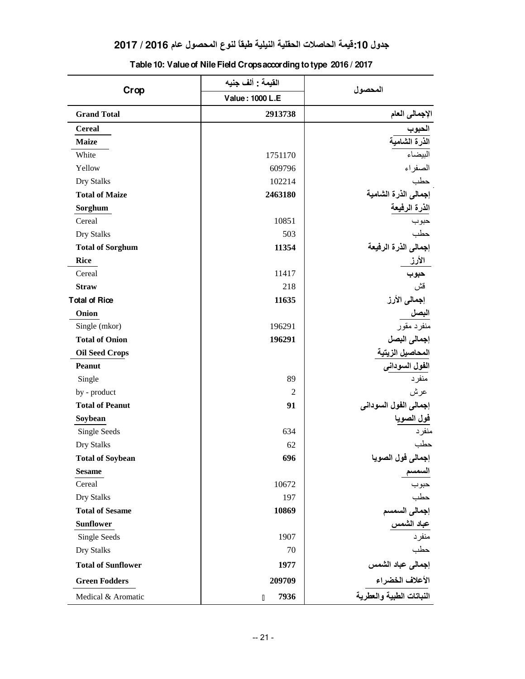|                           | القيمة : ألف جنيه | المحصول                                       |  |
|---------------------------|-------------------|-----------------------------------------------|--|
| Crop                      | Value: 1000 L.E   |                                               |  |
| <b>Grand Total</b>        | 2913738           | الإجمالي العام                                |  |
| <b>Cereal</b>             |                   |                                               |  |
| <b>Maize</b>              |                   | الحبوب<br>ا <mark>لذرة الشامي</mark> ة        |  |
| White                     | 1751170           | البيضاء                                       |  |
| Yellow                    | 609796            | الصفراء                                       |  |
| Dry Stalks                | 102214            | حطب                                           |  |
| <b>Total of Maize</b>     | 2463180           | إجمالي الذرة الشامية                          |  |
| Sorghum                   |                   | الذرة الرفيعة                                 |  |
| Cereal                    | 10851             | حبوب                                          |  |
| Dry Stalks                | 503               | حطب                                           |  |
| <b>Total of Sorghum</b>   | 11354             | إجمالى الذرة الرفيعة                          |  |
| <b>Rice</b>               |                   | الأرز                                         |  |
| Cereal                    | 11417             | حبوب                                          |  |
| <b>Straw</b>              | 218               | قش                                            |  |
| <b>Total of Rice</b>      | 11635             | إجمالي الأرز                                  |  |
| Onion                     |                   | البصل                                         |  |
| Single (mkor)             | 196291            | منفرد مقور                                    |  |
| <b>Total of Onion</b>     | 196291            | إجمالى البصل                                  |  |
| <b>Oil Seed Crops</b>     |                   | ا <mark>لمحاصيل الز</mark> يتية               |  |
| <b>Peanut</b>             |                   | ا <mark>لفول السودانی</mark><br>منفرد         |  |
| Single                    | 89                |                                               |  |
| by - product              | 2                 | عرش                                           |  |
| <b>Total of Peanut</b>    | 91                | إجمالي الفول السوداني                         |  |
| Soybean                   |                   |                                               |  |
| Single Seeds              | 634               | <mark>فول الصوي</mark> ا<br><sub>منفر د</sub> |  |
| Dry Stalks                | 62                | حطب                                           |  |
| <b>Total of Soybean</b>   | 696               | إجمالى فول الصويا                             |  |
| <b>Sesame</b>             |                   |                                               |  |
| Cereal                    | 10672             | حبوب                                          |  |
| Dry Stalks                | 197               | حطب                                           |  |
| <b>Total of Sesame</b>    | 10869             | إجمالى السمسم                                 |  |
| <b>Sunflower</b>          |                   | عباد الشمس                                    |  |
| Single Seeds              | 1907              | منفرد                                         |  |
| Dry Stalks                | 70                | حطب                                           |  |
| <b>Total of Sunflower</b> | 1977              | إجمالى عباد الشمس                             |  |
| <b>Green Fodders</b>      | 209709            |                                               |  |
| Medical & Aromatic        | 7936<br>D         | النباتات الطبية والعطرية                      |  |

**Table 10: Value of Nile Field Crops according to type 2016 / 2017**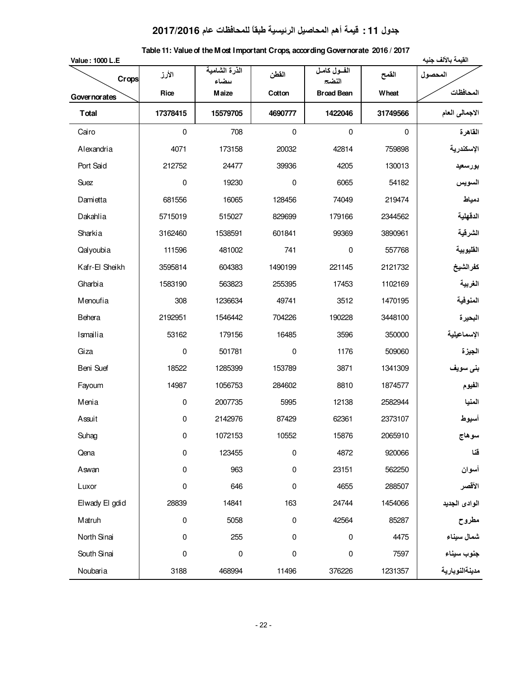# **جدول 11 : قيمة أهم المحاصيل الرئيسية طبقاً للمحافظات عام 2017/2016**

| Table 11: Value of the M ost Important Crops, according Governorate 2016 / 2017 |  |  |  |  |  |
|---------------------------------------------------------------------------------|--|--|--|--|--|
|---------------------------------------------------------------------------------|--|--|--|--|--|

| Value: 1000 L.E |             |                        |             |                     |             | القيمة بالألف جنيه           |
|-----------------|-------------|------------------------|-------------|---------------------|-------------|------------------------------|
| Crops           | الأرز       | الذرة الشامية<br>ىىضاء | القطن       | الفول كامل<br>النضج | القمح       | المحصول                      |
| Governorates    | Rice        | <b>Maize</b>           | Cotton      | <b>Broad Bean</b>   | Wheat       | المحافظات                    |
| <b>T</b> otal   | 17378415    | 15579705               | 4690777     | 1422046             | 31749566    | الاجمالي العام               |
| Cairo           | $\mathsf 0$ | 708                    | $\mathbf 0$ | $\mathsf 0$         | $\mathbf 0$ | القاهرة                      |
| Alexandria      | 4071        | 173158                 | 20032       | 42814               | 759898      | الإسكندرية                   |
| Port Said       | 212752      | 24477                  | 39936       | 4205                | 130013      | بورسعيد                      |
| Suez            | 0           | 19230                  | $\pmb{0}$   | 6065                | 54182       | السويس                       |
| Damietta        | 681556      | 16065                  | 128456      | 74049               | 219474      | دمياط                        |
| Dakahlia        | 5715019     | 515027                 | 829699      | 179166              | 2344562     | الدقهلية                     |
| Sharkia         | 3162460     | 1538591                | 601841      | 99369               | 3890961     | الشرقية                      |
| Qalyoubia       | 111596      | 481002                 | 741         | $\pmb{0}$           | 557768      | القليوبية                    |
| Kafr-El Sheikh  | 3595814     | 604383                 | 1490199     | 221145              | 2121732     | كفرالشيخ                     |
| Gharbia         | 1583190     | 563823                 | 255395      | 17453               | 1102169     | الغربية                      |
| Menoufia        | 308         | 1236634                | 49741       | 3512                | 1470195     | المنوفية                     |
| Behera          | 2192951     | 1546442                | 704226      | 190228              | 3448100     | البحيرة                      |
| Ismailia        | 53162       | 179156                 | 16485       | 3596                | 350000      | الإسماعيلية                  |
| Giza            | $\pmb{0}$   | 501781                 | 0           | 1176                | 509060      | الجيزة                       |
| Beni Suef       | 18522       | 1285399                | 153789      | 3871                | 1341309     | بنى سويف                     |
| Fayoum          | 14987       | 1056753                | 284602      | 8810                | 1874577     | الفيوم                       |
| Menia           | $\pmb{0}$   | 2007735                | 5995        | 12138               | 2582944     | المنيا                       |
| Assuit          | $\mathbf 0$ | 2142976                | 87429       | 62361               | 2373107     | أسيوط                        |
| Suhag           | 0           | 1072153                | 10552       | 15876               | 2065910     | سوهاج                        |
| Qena            | 0           | 123455                 | 0           | 4872                | 920066      | فقا                          |
| Aswan           | 0           | 963                    | $\mathbf 0$ | 23151               | 562250      | أسوان                        |
| Luxor           | 0           | 646                    | 0           | 4655                | 288507      | الأقصر                       |
| Elwady El gdid  | 28839       | 14841                  | 163         | 24744               | 1454066     | الوادى الجديد                |
| Matruh          | $\pmb{0}$   | 5058                   | $\pmb{0}$   | 42564               | 85287       | مطروح                        |
| North Sinai     | 0           | 255                    | 0           | $\pmb{0}$           | 4475        | شمال سيناء                   |
| South Sinai     | $\pmb{0}$   | 0                      | $\pmb{0}$   | $\pmb{0}$           | 7597        | جنوب سيناء<br>مدينةالنوبارية |
| Noubaria        | 3188        | 468994                 | 11496       | 376226              | 1231357     |                              |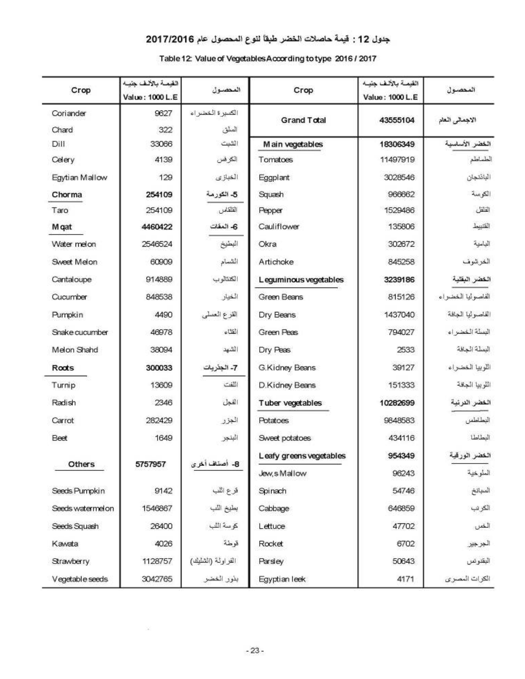#### جنول 12 : قيمة حاصلات الخضر طبقاً لنوع المحصول عام 2017/2016

#### Table 12: Value of Vegetables According to type 2016 / 2017

| Crop             | القيمة بالألف جنيه<br>Value: 1000 L.E | المحصول           | Crop                    | القيمة بالألف جليه<br>Value: 1000 L.E | المحصول           |
|------------------|---------------------------------------|-------------------|-------------------------|---------------------------------------|-------------------|
| Coriander        | 9627                                  | الكسرة الخضراء    | <b>Grand Total</b>      | 43555104                              | الاجمالى العام    |
| Chard            | 322                                   | المبلق            |                         |                                       |                   |
| Dill             | 33066                                 | الشبث             | Main vegetables         | 18306349                              | الخضر الأساسية    |
| Celery           | 4139                                  | الكرفس            | Tomatoes                | 11497919                              | الطماطم           |
| Egytian Mallow   | 129                                   | الغبازى           | Eggplant                | 3028546                               | البائدجان         |
| Chorma           | 254109                                | 5- الكورمة        | Squash                  | 966662                                | الكوسة            |
| Taro             | 254109                                | القلقاس           | Pepper                  | 1529486                               | القافل            |
| M gat            | 4460422                               | 6- المفات         | Cauliflower             | 135806                                | القنبيط           |
| Water melon      | 2546524                               | البطيخ            | Okra                    | 302672                                | البامية           |
| Sweet Melon      | 60909                                 | الشمام            | Artichoke               | 845258                                | الغرشوف           |
| Cantaloupe       | 914889                                | الكثالوب          | Leguminous vegetables   | 3239186                               | الخضر البقلية     |
| Cucumber         | 848538                                | الخيار            | Green Beans             | 815126                                | الفاصوليا الخضراء |
| Pumpkin          | 4490                                  | القرع العملي      | Dry Beans               | 1437040                               | القاصوليا الجافة  |
| Snake cucumber   | 46978                                 | القتاء            | Green Peas              | 794027                                | البسلة الخضراء    |
| Melon Shahd      | 38094                                 | الشهد             | Dry Peas                | 2533                                  | البملة الجافة     |
| Roots            | 300033                                | 7- الجلريات       | G.Kidney Beans          | 39127                                 | اللوبيا الخضراء   |
| Turnip           | 13609                                 | اللفت             | D.Kidney Beans          | 151333                                | اللوبيا الجافة    |
| Radish           | 2346                                  | الفجل             | Tuber vegetables        | 10282699                              | الخضر النرنية     |
| Carrot           | 282429                                | الجزر             | <b>Potatoes</b>         | 9848583                               | البطاطس           |
| Beet             | 1649                                  | البنجر            | Sweet potatoes          | 434116                                | العطاطا           |
|                  |                                       |                   | Leafy greens vegetables | 954349                                | الخضر الورقية     |
| Others           | 5757957                               | 8- أصناف أخرى     | Jew, s Mallow           | 96243                                 | الملوخية          |
| Seeds Pumpkin    | 9142                                  | قرع اللب          | Spinach                 | 54746                                 | المباتخ           |
| Seeds watermelon | 1546867                               | بطيخ اللب         | Cabbage                 | 646859                                | الكرنب            |
| Seeds Squash     | 26400                                 | كوسة اللب         | Lettuce                 | 47702                                 | الخس              |
| Kawata           | 4026                                  | قوطة              | Rocket                  | 6702                                  | الجرجير           |
| Strawberry       | 1128757                               | الفراولة (الشليك) | Parsley                 | 50643                                 | البقدونس          |
| Vegetable seeds  | 3042765                               | بذور الخضر        | Egyptian leek           | 4171                                  | الكرات المصرى     |

 $\sim$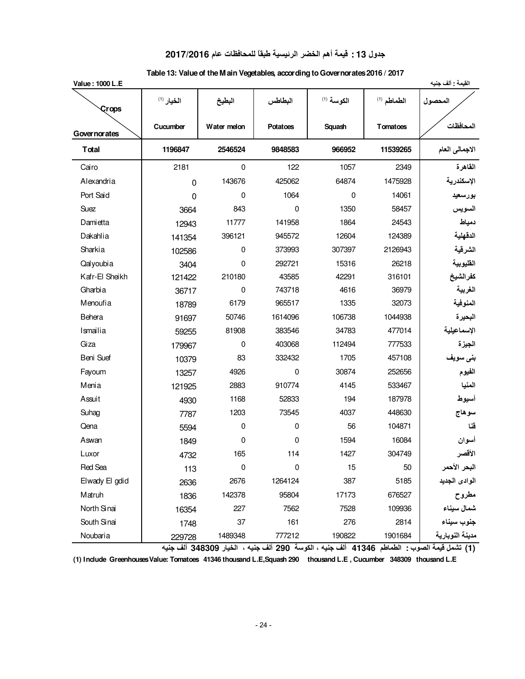#### **جدول 13 : قيمة أهم الخضر الرئيسية طبقاً للمحافظات عام 2017/2016**

| Value: 1000 L.E |                          |             |                         |                                   |                    | القيمة : ألف جنيه |
|-----------------|--------------------------|-------------|-------------------------|-----------------------------------|--------------------|-------------------|
| Crops           | $^{(1)}$ الخيار $^{(1)}$ | البطيخ      | البطاطس                 | الكوسة (1)                        | الطماطم (1)        | المحصول           |
| Governorates    | Cucumber                 | Water melon | <b>Potatoes</b>         | Squash                            | Tomatoes           | المحافظات         |
| <b>T</b> otal   | 1196847                  | 2546524     | 9848583                 | 966952                            | 11539265           | الاجمالي العام    |
| Cairo           | 2181                     | $\mathbf 0$ | 122                     | 1057                              | 2349               | القاهرة           |
| Alexandria      | $\mathbf 0$              | 143676      | 425062                  | 64874                             | 1475928            | الإسكندرية        |
| Port Said       | 0                        | 0           | 1064                    | 0                                 | 14061              | بورسعيد           |
| Suez            | 3664                     | 843         | $\mathbf 0$             | 1350                              | 58457              | السويس            |
| Damietta        | 12943                    | 11777       | 141958                  | 1864                              | 24543              | دمياط             |
| Dakahlia        | 141354                   | 396121      | 945572                  | 12604                             | 124389             | الدقهلية          |
| Sharkia         | 102586                   | $\mathbf 0$ | 373993                  | 307397                            | 2126943            | الشرقية           |
| Qalyoubia       | 3404                     | $\mathbf 0$ | 292721                  | 15316                             | 26218              | القليوبية         |
| Kafr-El Sheikh  | 121422                   | 210180      | 43585                   | 42291                             | 316101             | كفرالشيخ          |
| Gharbia         | 36717                    | 0           | 743718                  | 4616                              | 36979              | الغربية           |
| Menoufia        | 18789                    | 6179        | 965517                  | 1335                              | 32073              | المنوفية          |
| Behera          | 91697                    | 50746       | 1614096                 | 106738                            | 1044938            | البحيرة           |
| Ismailia        | 59255                    | 81908       | 383546                  | 34783                             | 477014             | الإسماعيلية       |
| Giza            | 179967                   | $\mathbf 0$ | 403068                  | 112494                            | 777533             | الجيزة            |
| Beni Suef       | 10379                    | 83          | 332432                  | 1705                              | 457108             | بنى سويف          |
| Fayoum          | 13257                    | 4926        | $\mathbf 0$             | 30874                             | 252656             | الفيوم            |
| Menia           | 121925                   | 2883        | 910774                  | 4145                              | 533467             | المنيا            |
| Assuit          | 4930                     | 1168        | 52833                   | 194                               | 187978             | أسيوط             |
| Suhag           | 7787                     | 1203        | 73545                   | 4037                              | 448630             | سوهاج             |
| Qena            | 5594                     | $\mathbf 0$ | $\mathbf 0$             | 56                                | 104871             | فنا               |
| Aswan           | 1849                     | 0           | 0                       | 1594                              | 16084              | أسوان             |
| Luxor           | 4732                     | 165         | 114                     | 1427                              | 304749             | الأقصر            |
| Red Sea         | 113                      | $\pmb{0}$   | 0                       | 15                                | 50                 | البحر الأحمر      |
| Elwady El gdid  | 2636                     | 2676        | 1264124                 | 387                               | 5185               | الوادى الجديد     |
| Matruh          | 1836                     | 142378      | 95804                   | 17173                             | 676527             | مطروح             |
| North Sinai     | 16354                    | 227         | 7562                    | 7528                              | 109936             | شمال سيناء        |
| South Sinai     | 1748                     | 37          | 161                     | 276                               | 2814               |                   |
| Noubaria        | 229728<br>÷ť             | 1489348     | 777212<br>$\frac{1}{2}$ | 190822<br>$\overline{\mathbf{H}}$ | 1901684<br>$t + t$ | مدبنة النوبارية   |

#### **Table 13: Value of the Main Vegetables, according to Governorates 2016 / 2017**

 **(1) تشمل قيمة الصوب : الطماطم 41346 ألف جنيه ، الكوسة 290 ألف جنيه ، الخيار 348309 ألف جنيه** 

**(1) Include Greenhouses Value: Tomatoes 41346 thousand L.E,Squash 290 thousand L.E , Cucumber 348309 thousand L.E**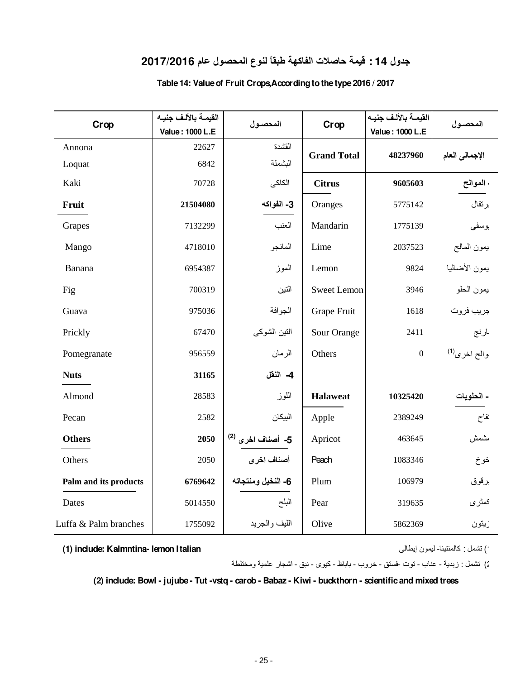## **جدول 14 : قيمة حاصلات الفاكهة طبقاً لنوع المحصول عام 2017/2016**

|                       | القيمة بالألف جنيه |                              |                    | القيمة بالألف جنيه |                          |
|-----------------------|--------------------|------------------------------|--------------------|--------------------|--------------------------|
| Crop                  | Value: 1000 L.E    | المحصول                      | Crop               | Value: 1000 L.E    | المحصول                  |
| Annona                | 22627              | القشدة                       | <b>Grand Total</b> | 48237960           | الإجمالي العام           |
| Loquat                | 6842               | البشملة                      |                    |                    |                          |
| Kaki                  | 70728              | الكاكى                       | <b>Citrus</b>      | 9605603            | الموالح                  |
| Fruit                 | 21504080           | 3- الفواكه                   | Oranges            | 5775142            | رتقال                    |
| Grapes                | 7132299            | العنب                        | Mandarin           | 1775139            | وسفى                     |
| Mango                 | 4718010            | المانجو                      | Lime               | 2037523            | بمون المالح              |
| Banana                | 6954387            | الموز                        | Lemon              | 9824               | يمون الأضاليا            |
| Fig                   | 700319             | النين                        | <b>Sweet Lemon</b> | 3946               | يمون الحلو               |
| Guava                 | 975036             | الجوافة                      | Grape Fruit        | 1618               | جريب فروت                |
| Prickly               | 67470              | التين الشوكي                 | Sour Orange        | 2411               | لرنج                     |
| Pomegranate           | 956559             | الرمان                       | Others             | $\mathbf{0}$       | والح اخرى <sup>(1)</sup> |
| <b>Nuts</b>           | 31165              | 4- النقل                     |                    |                    |                          |
| Almond                | 28583              | اللوز                        | <b>Halaweat</b>    | 10325420           | - الحلويات               |
| Pecan                 | 2582               | البيكان                      | Apple              | 2389249            | نفاح                     |
| <b>Others</b>         | 2050               | 5- أصناف اخرى <sup>(2)</sup> | Apricot            | 463645             | ىشمش                     |
| Others                | 2050               | أصناف اخرى                   | Peach              | 1083346            | خوخ                      |
| Palm and its products | 6769642            | 6- النخيل ومنتجاته           | Plum               | 106979             | رقوق                     |
| Dates                 | 5014550            | البلح                        | Pear               | 319635             | كمثرى                    |
| Luffa & Palm branches | 1755092            | الليف والجريد                | Olive              | 5862369            | ريتون                    |

#### **Table 14: Value of Fruit Crops,According to the type 2016 / 2017**

**(1) include: Kalmntina- lemon Italian**

1) تشمل : كالمنتينا- ليمون إيطالى

2) تشمل : زبدية - عناب - توت -فستق - خروب - باباظ - كيوى - نبق - اشجار علمية ومختلطة

**(2) include: Bowl - jujube - Tut -vstq - carob - Babaz - Kiwi - buckthorn - scientific and mixed trees**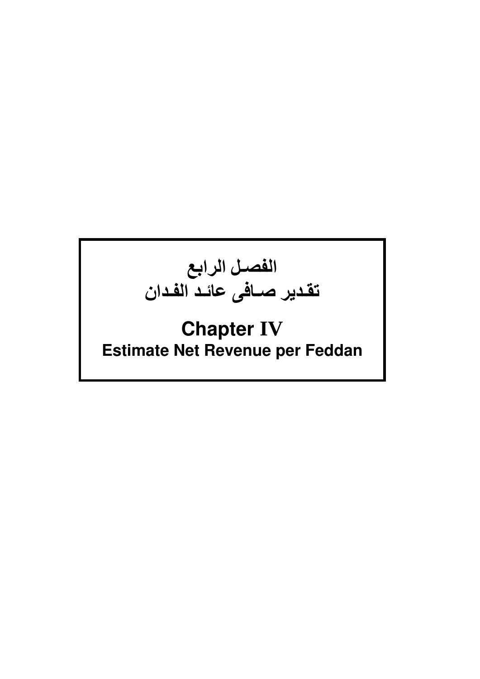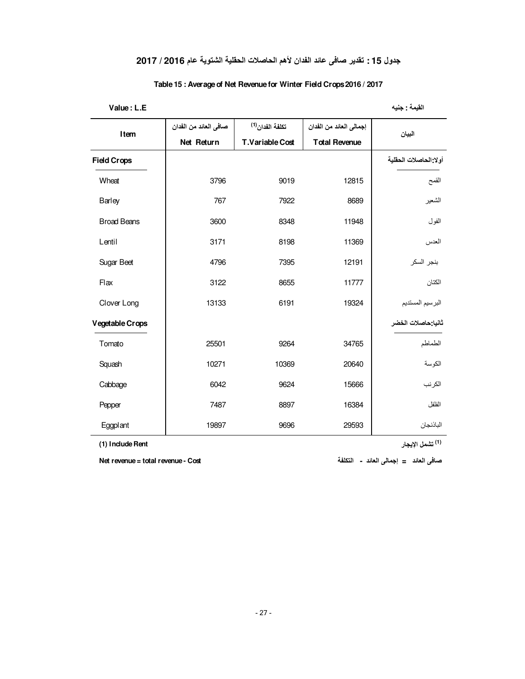#### **جدول 15 : تقدير صافى عائد الفدان لأهم الحاصلات الحقلية الشتوية عام 2016 / 2017**

#### **Table 15 : Average of Net Revenue for Winter Field Crops 2016 / 2017**

**Value : L.E جنيه : القيمة** 

| Item               | صافي العائد من الفدان | تكلفة الفدان <sup>(1)</sup> | إجمالي العائد من الفدان | البيان                |
|--------------------|-----------------------|-----------------------------|-------------------------|-----------------------|
|                    | Net Return            | <b>T.Variable Cost</b>      | <b>Total Revenue</b>    |                       |
| <b>Field Crops</b> |                       |                             |                         | أولا الحاصلات الحقلية |
| Wheat              | 3796                  | 9019                        | 12815                   | القمح                 |
| Barley             | 767                   | 7922                        | 8689                    | الشعير                |
| <b>Broad Beans</b> | 3600                  | 8348                        | 11948                   | الفول                 |
| Lentil             | 3171                  | 8198                        | 11369                   | العدس                 |
| Sugar Beet         | 4796                  | 7395                        | 12191                   | بنجر السكر            |
| Flax               | 3122                  | 8655                        | 11777                   | الكتان                |
| Clover Long        | 13133                 | 6191                        | 19324                   | البرسيم المستديم      |
| Vegetable Crops    |                       |                             |                         | ثانيا حاصلات الخضر    |
| Tomato             | 25501                 | 9264                        | 34765                   | الطماطم               |
| Squash             | 10271                 | 10369                       | 20640                   | الكوسة                |
| Cabbage            | 6042                  | 9624                        | 15666                   | الكرنب                |
| Pepper             | 7487                  | 8897                        | 16384                   | الفلفل                |
| Eggplant           | 19897                 | 9696                        | 29593                   | الباذنجان             |

 **Rent Include) 1) (<sup>1</sup> (تشمل الإيجار**

 **صافى العائد = إجمالى العائد - التكلفة Cost - revenue total = revenue Net**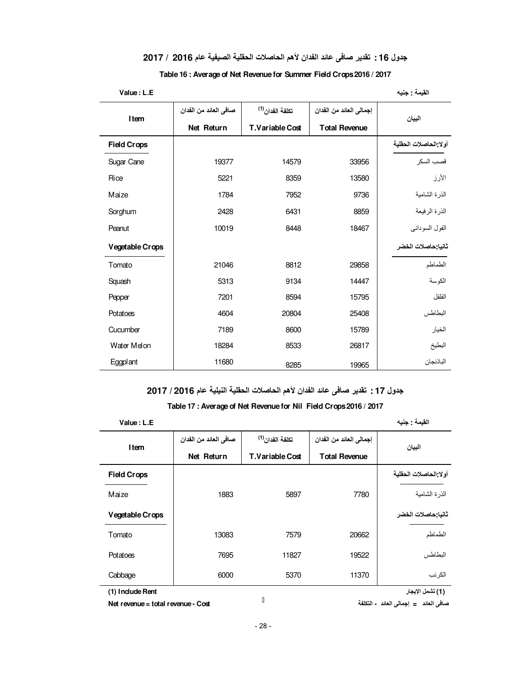#### **جدول 16 : تقدير صافى عائد الفدان لأهم الحاصلات الحقلية الصيفية عام 2016 / 2017**

| Value: L.E         |                       |                             |                         | القيمة : جنيه         |
|--------------------|-----------------------|-----------------------------|-------------------------|-----------------------|
| Item               | صافي العائد من الفدان | تكلفة الفدان <sup>(1)</sup> | إجمالي العائد من الفدان | البيان                |
|                    | Net Return            | T.Variable Cost             | <b>Total Revenue</b>    |                       |
| <b>Field Crops</b> |                       |                             |                         | أولا الحاصلات الحقلبة |
| Sugar Cane         | 19377                 | 14579                       | 33956                   | قصب السكر             |
| Rice               | 5221                  | 8359                        | 13580                   | الأرز                 |
| Maize              | 1784                  | 7952                        | 9736                    | الذرة الشامية         |
| Sorghum            | 2428                  | 6431                        | 8859                    | الذر ة الر فيعة       |
| Peanut             | 10019                 | 8448                        | 18467                   | الفول السودانبي       |
| Vegetable Crops    |                       |                             |                         | ثانيا حاصلات الخضر    |
| Tomato             | 21046                 | 8812                        | 29858                   | الطماطم               |
| Squash             | 5313                  | 9134                        | 14447                   | الكوسة                |
| Pepper             | 7201                  | 8594                        | 15795                   | الفلفل                |
| Potatoes           | 4604                  | 20804                       | 25408                   | البطاطس               |
| Cucumber           | 7189                  | 8600                        | 15789                   | الخيار                |
| Water Melon        | 18284                 | 8533                        | 26817                   | البطيخ                |
| <b>Eggplant</b>    | 11680                 | 8285                        | 19965                   | الباذنجان             |

#### **Table 16 : Average of Net Revenue for Summer Field Crops 2016 / 2017**

**جدول 17 : تقدير صافى عائد الفدان لأهم الحاصلات الحقلية النيلية عام 2016 / 2017**

#### **Table 17 : Average of Net Revenue for Nil Field Crops 2016 / 2017**

| Value: L.E         |                       |                             |                         | القبمة : جنبه         |
|--------------------|-----------------------|-----------------------------|-------------------------|-----------------------|
| Item               | صافي العائد من الفدان | تكلفة الفدان <sup>(1)</sup> | إجمالي العائد من الفدان | البيان                |
|                    | Net Return            | T.Variable Cost             | <b>Total Revenue</b>    |                       |
| <b>Field Crops</b> |                       |                             |                         | أولا الحاصلات الحقلية |
| Maize              | 1883                  | 5897                        | 7780                    | الذر ة الشامية        |
| Vegetable Crops    |                       |                             |                         | ثانيا حاصلات الخضر    |
| Tomato             | 13083                 | 7579                        | 20662                   | الطماطم               |
| Potatoes           | 7695                  | 11827                       | 19522                   | البطاطس               |
| Cabbage            | 6000                  | 5370                        | 11370                   | الكرنب                |
| (1) Indude Rent    |                       |                             |                         | (1) تشمل الإيجار      |

 **صافى العائد = إجمالى العائد - التكلفة Cost - revenue total = revenue Net**

 $\blacksquare$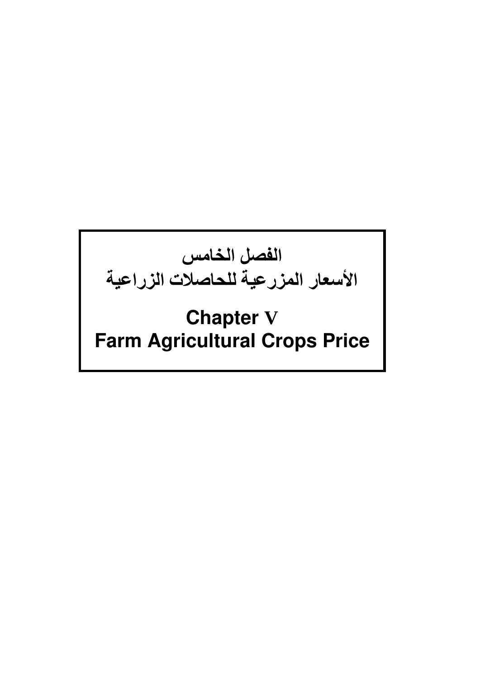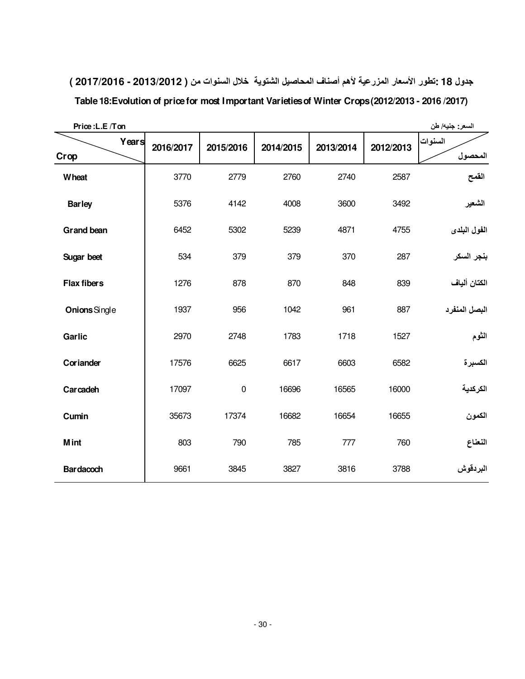| جدول 18 :تطور الأسعار المزرعية لأهم أصناف المحاصيل الشتوية  خلال السنوات من ( 2013/2012 - 2017/2016 ) |  |  |  |  |
|-------------------------------------------------------------------------------------------------------|--|--|--|--|
|-------------------------------------------------------------------------------------------------------|--|--|--|--|

| Price: L.E /Ton    |           |             |           |           |           | السعر: جنيه/ طن    |
|--------------------|-----------|-------------|-----------|-----------|-----------|--------------------|
| Years<br>Crop      | 2016/2017 | 2015/2016   | 2014/2015 | 2013/2014 | 2012/2013 | السنوات<br>المحصول |
|                    |           |             |           |           |           |                    |
| <b>Wheat</b>       | 3770      | 2779        | 2760      | 2740      | 2587      | القمح              |
| <b>Barley</b>      | 5376      | 4142        | 4008      | 3600      | 3492      | الشعير             |
| <b>Grand bean</b>  | 6452      | 5302        | 5239      | 4871      | 4755      | الفول البلدى       |
| Sugar beet         | 534       | 379         | 379       | 370       | 287       | بنجر السكر         |
| <b>Flax fibers</b> | 1276      | 878         | 870       | 848       | 839       | الكتان ألياف       |
| Onions Single      | 1937      | 956         | 1042      | 961       | 887       | البصل المنفرد      |
| Garlic             | 2970      | 2748        | 1783      | 1718      | 1527      | الثوم              |
| Coriander          | 17576     | 6625        | 6617      | 6603      | 6582      | الكسبرة            |
| Carcadeh           | 17097     | $\mathbf 0$ | 16696     | 16565     | 16000     | الكركدية           |
| Cumin              | 35673     | 17374       | 16682     | 16654     | 16655     | الكمون             |
| <b>M</b> int       | 803       | 790         | 785       | 777       | 760       | النعناع            |
| <b>Bardacoch</b>   | 9661      | 3845        | 3827      | 3816      | 3788      | البردقوش           |

**Table 18:Evolution of price for most Important Varieties of Winter Crops (2012/2013 - 2016 /2017)**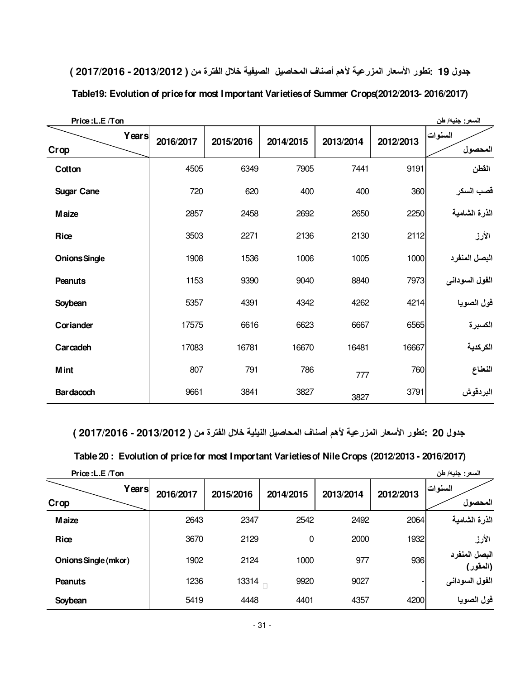| Price: L.E /Ton      |           |           |           |           |           | السعر: جنيه/ طن    |
|----------------------|-----------|-----------|-----------|-----------|-----------|--------------------|
| Years<br>Crop        | 2016/2017 | 2015/2016 | 2014/2015 | 2013/2014 | 2012/2013 | السنوات<br>المحصول |
| Cotton               | 4505      | 6349      | 7905      | 7441      | 9191      | القطن              |
| <b>Sugar Cane</b>    | 720       | 620       | 400       | 400       | 360       | قصب السكر          |
| <b>Maize</b>         | 2857      | 2458      | 2692      | 2650      | 2250      | الذرة الشامية      |
| Rice                 | 3503      | 2271      | 2136      | 2130      | 2112      | الأرز              |
| <b>Onions Single</b> | 1908      | 1536      | 1006      | 1005      | 1000      | البصل المنفرد      |
| <b>Peanuts</b>       | 1153      | 9390      | 9040      | 8840      | 7973      | الفول السودانى     |
| Soybean              | 5357      | 4391      | 4342      | 4262      | 4214      | فول الصويا         |
| Coriander            | 17575     | 6616      | 6623      | 6667      | 6565      | الكسبرة            |
| Carcadeh             | 17083     | 16781     | 16670     | 16481     | 16667     | الكركدية           |
| <b>Mint</b>          | 807       | 791       | 786       | 777       | 760       | النعناع            |
| <b>Bardacoch</b>     | 9661      | 3841      | 3827      | 3827      | 3791      | البردقوش           |

**جدول 19 : تطور الأسعار المزرعية لأهم أصناف المحاصيل الصيفية خلال الفترة من ( 2013/2012 - 2017/2016 )**

**Table19: Evolution of price for most Important Varieties of Summer Crops(2012/2013- 2016/2017)**

 **جدول 20 : تطور الأسعار المزرعية لأهم أصناف المحاصيل النيلية خلال الفترة من ( 2013/2012 - 2017/2016 )**

| Table 20 : Evolution of price for most Important Varieties of Nile Crops (2012/2013 - 2016/2017) |  |  |  |
|--------------------------------------------------------------------------------------------------|--|--|--|
|--------------------------------------------------------------------------------------------------|--|--|--|

| Price: L.E /Ton      |           |           |           |           |           | السعر: جنيه/ طن           |
|----------------------|-----------|-----------|-----------|-----------|-----------|---------------------------|
| Years<br>Crop        | 2016/2017 | 2015/2016 | 2014/2015 | 2013/2014 | 2012/2013 | السنوات<br>المحصول        |
| <b>Maize</b>         | 2643      | 2347      | 2542      | 2492      | 2064      | الذرة الشامية             |
| Rice                 | 3670      | 2129      | 0         | 2000      | 1932      | الأرز                     |
| Onions Single (mkor) | 1902      | 2124      | 1000      | 977       | 936       | البصل المنفرد<br>(المقور) |
| <b>Peanuts</b>       | 1236      | 13314     | 9920      | 9027      |           | الفول السوداني            |
| Soybean              | 5419      | 4448      | 4401      | 4357      | 4200      | فول الصويا                |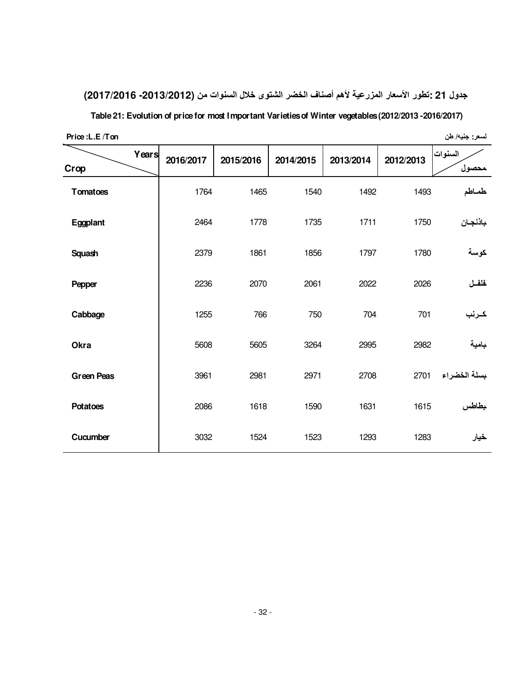## **جدول 21 : تطور الأسعار المزرعية لأهم أصناف الخضر الشتوى خلال السنوات من (-2013/2012 2017/2016)**

**Table 21: Evolution of price for most Important Varieties of Winter vegetables (2012/2013 -2016/2017)**

| Price: L.E / Ton |  |
|------------------|--|
|                  |  |

**Price :L.E /Ton طن /جنيه :لسعر** 

| Crop              | Years | 2016/2017 | 2015/2016 | 2014/2015 | 2013/2014 | 2012/2013 | السنوات<br>محصول |
|-------------------|-------|-----------|-----------|-----------|-----------|-----------|------------------|
| Tomatoes          |       | 1764      | 1465      | 1540      | 1492      | 1493      | كمماطم           |
| Eggplant          |       | 2464      | 1778      | 1735      | 1711      | 1750      | باذنجان          |
| <b>Squash</b>     |       | 2379      | 1861      | 1856      | 1797      | 1780      | كوسة             |
| Pepper            |       | 2236      | 2070      | 2061      | 2022      | 2026      | فلفل             |
| Cabbage           |       | 1255      | 766       | 750       | 704       | 701       | كرنب             |
| Okra              |       | 5608      | 5605      | 3264      | 2995      | 2982      | بامية            |
| <b>Green Peas</b> |       | 3961      | 2981      | 2971      | 2708      | 2701      | بسلة الخضراء     |
| <b>Potatoes</b>   |       | 2086      | 1618      | 1590      | 1631      | 1615      | بطاطس            |
| Cucumber          |       | 3032      | 1524      | 1523      | 1293      | 1283      | خيار             |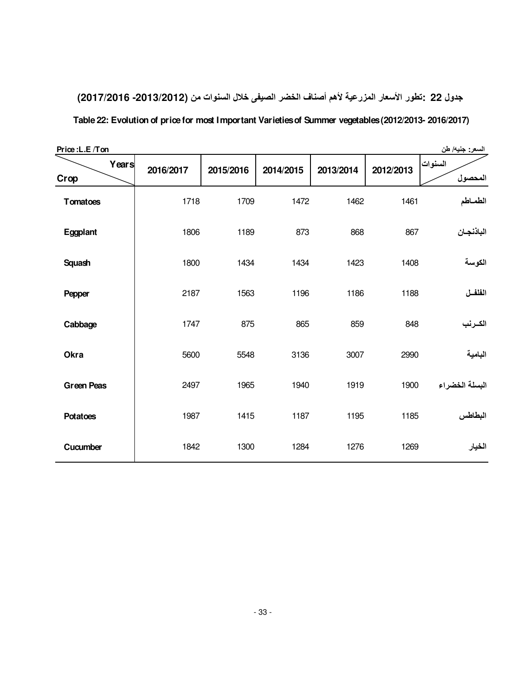# **جدول 22 : تطور الأسعار المزرعية لأهم أصناف الخضر الصيفى خلال السنوات من (-2013/2012 2017/2016) Table 22: Evolution of price for most Important Varieties of Summer vegetables (2012/2013- 2016/2017)**

| Price: L.E/Ton    |           |           |           |           |           | السعر: جنيه/ طن    |
|-------------------|-----------|-----------|-----------|-----------|-----------|--------------------|
| Years<br>Crop     | 2016/2017 | 2015/2016 | 2014/2015 | 2013/2014 | 2012/2013 | السنوات<br>المحصول |
| <b>Tomatoes</b>   | 1718      | 1709      | 1472      | 1462      | 1461      | الطماطم            |
| Eggplant          | 1806      | 1189      | 873       | 868       | 867       | الباذنجان          |
| <b>Squash</b>     | 1800      | 1434      | 1434      | 1423      | 1408      | الكوسة             |
| Pepper            | 2187      | 1563      | 1196      | 1186      | 1188      | الفلفــل           |
| Cabbage           | 1747      | 875       | 865       | 859       | 848       | الكـرنب            |
| Okra              | 5600      | 5548      | 3136      | 3007      | 2990      | البامية            |
| <b>Green Peas</b> | 2497      | 1965      | 1940      | 1919      | 1900      | البسلة الخضراء     |
| <b>Potatoes</b>   | 1987      | 1415      | 1187      | 1195      | 1185      | البطاطس            |
| Cucumber          | 1842      | 1300      | 1284      | 1276      | 1269      | الخيار             |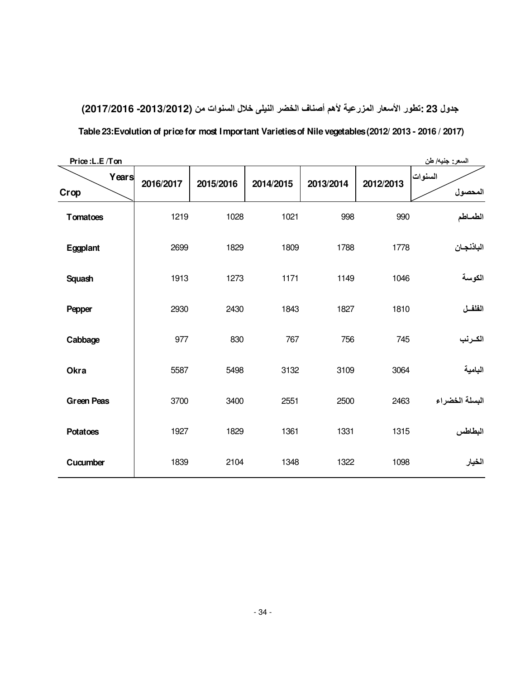**جدول 23 : تطور الأسعار المزرعية لأهم أصناف الخضر النيلى خلال السنوات من (-2013/2012 2017/2016) Table 23:Evolution of price for most Important Varieties of Nile vegetables (2012/ 2013 - 2016 / 2017)**

| Price: L.E /Ton<br>السعر: جنيه/ طن |           |           |           |           |           |                |
|------------------------------------|-----------|-----------|-----------|-----------|-----------|----------------|
| Years                              | 2016/2017 | 2015/2016 | 2014/2015 | 2013/2014 | 2012/2013 | السنوات        |
| Crop                               |           |           |           |           |           | المحصول        |
| <b>Tomatoes</b>                    | 1219      | 1028      | 1021      | 998       | 990       | الطماطم        |
| Eggplant                           | 2699      | 1829      | 1809      | 1788      | 1778      | الباذنجان      |
| Squash                             | 1913      | 1273      | 1171      | 1149      | 1046      | الكوسة         |
| Pepper                             | 2930      | 2430      | 1843      | 1827      | 1810      | الفلفل         |
| Cabbage                            | 977       | 830       | 767       | 756       | 745       | الكـرنب        |
| Okra                               | 5587      | 5498      | 3132      | 3109      | 3064      | البامية        |
| <b>Green Peas</b>                  | 3700      | 3400      | 2551      | 2500      | 2463      | البسلة الخضراء |
| <b>Potatoes</b>                    | 1927      | 1829      | 1361      | 1331      | 1315      | البطاطس        |
| Cucumber                           | 1839      | 2104      | 1348      | 1322      | 1098      | الخيار         |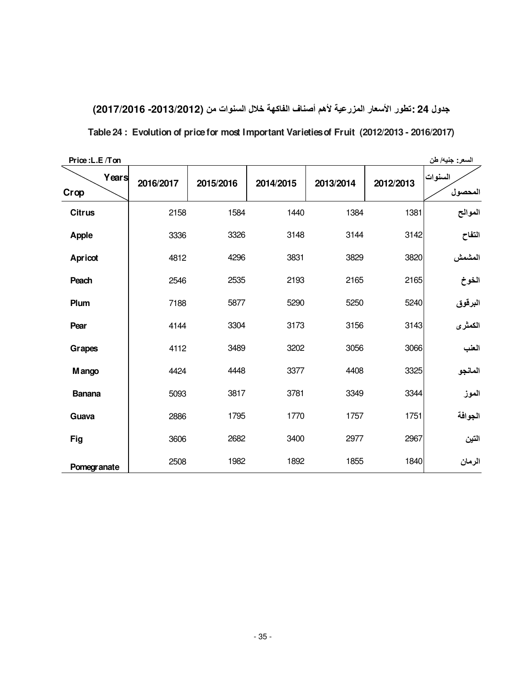| جدول 24 : تطور الأسعار المزرعية لأهم أصناف الفاكهة خلال السنوات من (2013/2012- 2017/2016)  |  |
|--------------------------------------------------------------------------------------------|--|
| Table 24: Evolution of price for most Important Varieties of Fruit (2012/2013 - 2016/2017) |  |

| Price: L.E /Ton    |           |           |           |           |           | السعر: جنيه/ طن    |
|--------------------|-----------|-----------|-----------|-----------|-----------|--------------------|
| Years<br>Crop      | 2016/2017 | 2015/2016 | 2014/2015 | 2013/2014 | 2012/2013 | السنوات<br>المحصول |
| <b>Citrus</b>      | 2158      | 1584      | 1440      | 1384      | 1381      | الموالح            |
| <b>Apple</b>       | 3336      | 3326      | 3148      | 3144      | 3142      | التفاح             |
| Apricot            | 4812      | 4296      | 3831      | 3829      | 3820      | المشمش             |
| Peach              | 2546      | 2535      | 2193      | 2165      | 2165      | الخوخ              |
| Plum               | 7188      | 5877      | 5290      | 5250      | 5240      | البرقوق            |
| Pear               | 4144      | 3304      | 3173      | 3156      | 3143      | الكمثرى            |
| Grapes             | 4112      | 3489      | 3202      | 3056      | 3066      | العنب              |
| M ango             | 4424      | 4448      | 3377      | 4408      | 3325      | المانجو            |
| <b>Banana</b>      | 5093      | 3817      | 3781      | 3349      | 3344      | الموز              |
| Guava              | 2886      | 1795      | 1770      | 1757      | 1751      | الجوافة            |
| Fig                | 3606      | 2682      | 3400      | 2977      | 2967      | النين              |
| <b>Pomegranate</b> | 2508      | 1982      | 1892      | 1855      | 1840      | الرمان             |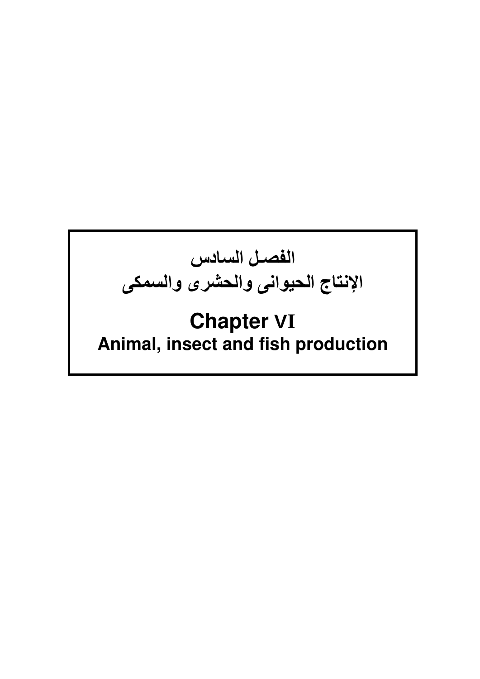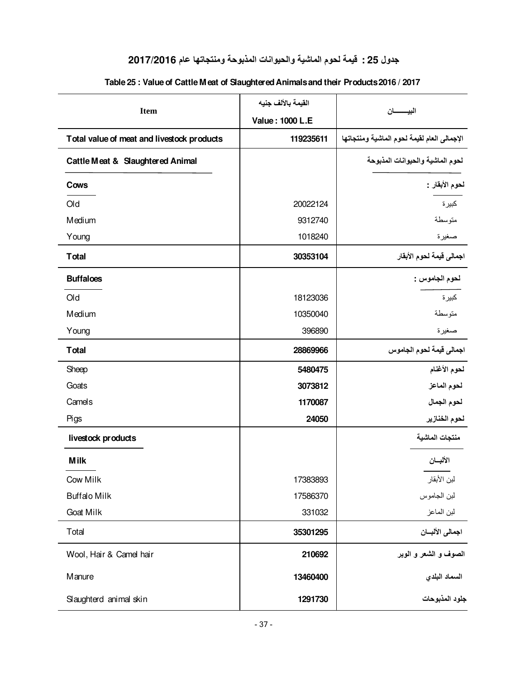## **جدول 25 : قيمة لحوم الماشية والحيوانات المذبوحة ومنتجاتها عام 2017/2016**

| <b>Item</b>                                | القيمة بالألف جنيه     |                                             |
|--------------------------------------------|------------------------|---------------------------------------------|
|                                            | <b>Value: 1000 L.E</b> | البيـــــــــــان                           |
| Total value of meat and livestock products | 119235611              | الإجمالي العام لقيمة لحوم الماشية ومنتجاتها |
| Cattle Meat & Slaughtered Animal           |                        | لحوم الماشية والحيوانات المذبوحة            |
| Cows                                       |                        | لحوم الأبقار -                              |
| Old                                        | 20022124               | كبيرة                                       |
| Medium                                     | 9312740                | متوسطة                                      |
| Young                                      | 1018240                | صغيرة                                       |
| <b>T</b> otal                              | 30353104               | اجمالى قيمة لحوم الأبقار                    |
| <b>Buffaloes</b>                           |                        | لحوم الجاموس :                              |
| Old                                        | 18123036               | كبيرة                                       |
| Medium                                     | 10350040               | متوسطة                                      |
| Young                                      | 396890                 | صغيرة                                       |
| <b>Total</b>                               | 28869966               | اجمالى قيمة لحوم الجاموس                    |
| Sheep                                      | 5480475                | لحوم الأغنام                                |
| Goats                                      | 3073812                | لحوم الماعز                                 |
| Camels                                     | 1170087                | لحوم الجمال                                 |
| Pigs                                       | 24050                  | لحوم الخنازير                               |
| livestock products                         |                        | منتجات الماشية                              |
| <b>Milk</b>                                |                        | الألبسان                                    |
| Cow Milk                                   | 17383893               | لبن الأبقار                                 |
| <b>Buffalo Milk</b>                        | 17586370               | لبن الجاموس                                 |
| Goat Milk                                  | 331032                 | لبن الماعز                                  |
| Total                                      | 35301295               | اجمالي الألبسان                             |
| Wool, Hair & Camel hair                    | 210692                 | الصوف و الشعر و الوبر                       |
| Manure                                     | 13460400               | السماد البلدي                               |
| Slaughterd animal skin                     | 1291730                | جلود المذبوحات                              |

#### **Table 25 : Value of Cattle Meat of Slaughtered Animals and their Products 2016 / 2017**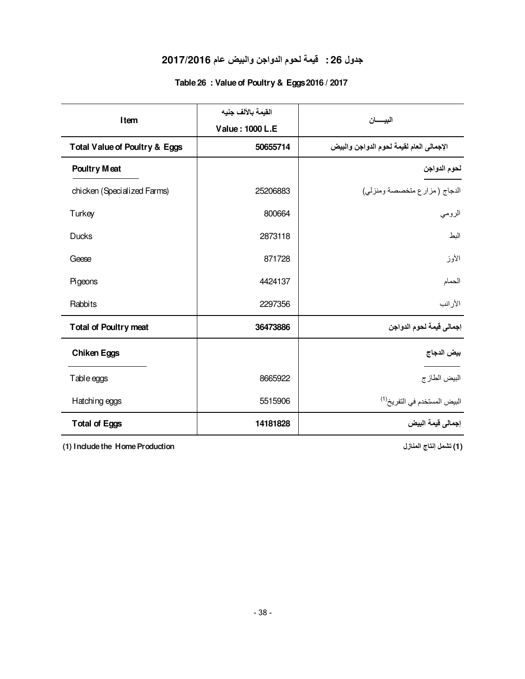### **جدول 26 : قيمة لحوم الدواجن والبيض عام 2017/2016**

#### **Table 26 : Value of Poultry & Eggs 2016 / 2017**

| Item                                     | القيمة بالألف جنيه |                                          |  |
|------------------------------------------|--------------------|------------------------------------------|--|
|                                          | Value: 1000 L.E    | البيسسان                                 |  |
| <b>Total Value of Poultry &amp; Eggs</b> | 50655714           | الإجمالي العام لقيمة لحوم الدواجن والبيض |  |
| <b>Poultry Meat</b>                      |                    | لحوم الدواجن                             |  |
| chicken (Specialized Farms)              | 25206883           | الدجاج (مزارع متخصصة ومنزلي)             |  |
| Turkey                                   | 800664             | الرومي                                   |  |
| Ducks                                    | 2873118            | البط                                     |  |
| Geese                                    | 871728             | الأوز                                    |  |
| Pigeons                                  | 4424137            | الحمام                                   |  |
| Rabbits                                  | 2297356            | الأرانب                                  |  |
| <b>Total of Poultry meat</b>             | 36473886           | إجمالي قيمة لحوم الدواجن                 |  |
| <b>Chiken Eggs</b>                       |                    | بيض الدجاج                               |  |
| Table eggs                               | 8665922            | البيض الطازج                             |  |
| Hatching eggs                            | 5515906            | البيض المستخدم في التفريخ <sup>(1)</sup> |  |
| <b>Total of Eggs</b>                     | 14181828           | إجمالي فيمة البيض                        |  |

**(1) Include the Home Production المنازل إنتاج تشمل) 1(**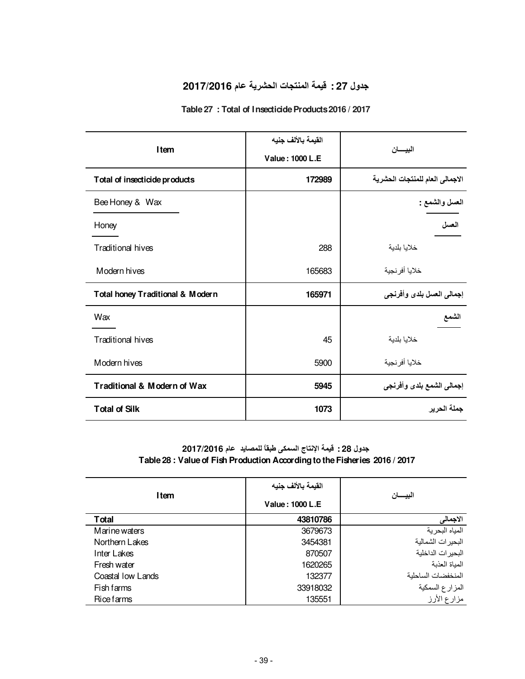### **جدول 27 : قيمة المنتجات الحشرية عام 2017/2016**

#### **Table 27 : Total of Insecticide Products 2016 / 2017**

|                                  | القيمة بالألف جنيه |                                 |  |
|----------------------------------|--------------------|---------------------------------|--|
| Item                             | Value: 1000 L.E    | البيسان                         |  |
| Total of insecticide products    | 172989             | الاجمالي العام للمنتجات الحشرية |  |
| Bee Honey & Wax                  |                    | المعسل والشمع :                 |  |
| Honey                            |                    | العسل                           |  |
| <b>Traditional hives</b>         | 288                | خلايا بلدية                     |  |
| Modern hives                     | 165683             | خلايا أفرنجية                   |  |
| Total honey Traditional & Modern | 165971             | إجمالي العسل بلدى وأفرنجي       |  |
| Wax                              |                    | الشمع                           |  |
| Traditional hives                | 45                 | خلايا بلدية                     |  |
| Modern hives                     | 5900               | خلايا أفرنجية                   |  |
| Traditional & Modern of Wax      | 5945               | إجمالي الشمع بلدى وأفرنجي       |  |
| <b>Total of Silk</b>             | 1073               | جملة الحرير                     |  |

#### **جدول 28 : قيمة الإنتاج السمكى طبقاً للمصايد عام 2017/2016 Table 28 : Value of Fish Production According to the Fisheries 2016 / 2017**

|                   | القيمة بالألف جنيه |                    |  |
|-------------------|--------------------|--------------------|--|
| Item              | Value: 1000 L.E    | البيسان            |  |
| Total             | 43810786           | الاجمالى           |  |
| Marine waters     | 3679673            | المياه البحرية     |  |
| Northern Lakes    | 3454381            | البحيرات الشمالية  |  |
| Inter Lakes       | 870507             | البحير ات الداخلية |  |
| Fresh water       | 1620265            | المياة العذبة      |  |
| Coastal low Lands | 132377             | المنخفضات الساحلية |  |
| Fish farms        | 33918032           | المزارع السمكية    |  |
| <b>Rice farms</b> | 135551             | مزارع الأرز        |  |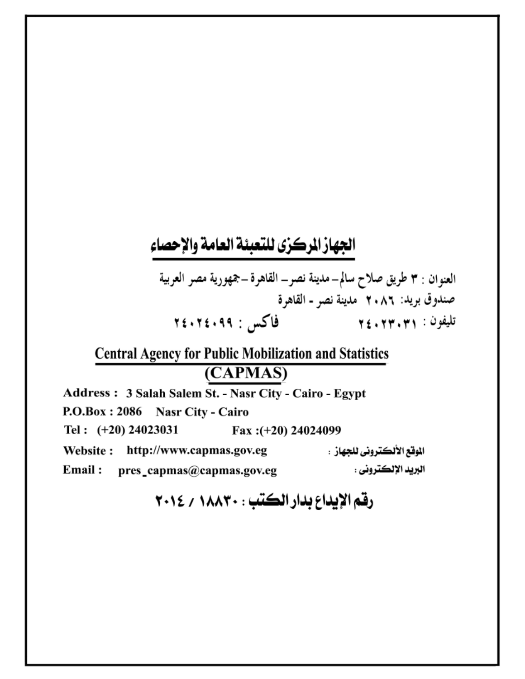# الجهاز الركزى للتعبئة العامة والإحصاء

العنوان : ٣ طريق صلاح سالم–مدينة نصر– القاهرة –جمهورية مصر العربية صندوق بريد: ٢٠٨٦ مدينة نصر - القاهرة تليفون : ٢٤٠٢٣٠٣١ فاكس : ٢٤٠٢٤٠٩٩

# **Central Agency for Public Mobilization and Statistics** (CAPMAS)

Address: 3 Salah Salem St. - Nasr City - Cairo - Egypt P.O.Box: 2086 Nasr City - Cairo Tel:  $(+20)$  24023031 Fax: (+20) 24024099 الموقع الألكتروني للجهاز : http://www.capmas.gov.eg Website: البريد الإلكتروني : Email: pres\_capmas@capmas.gov.eg

# رقم الإيداع بدار الكتب : ١٨٨٣٠ / ٢٠١٤